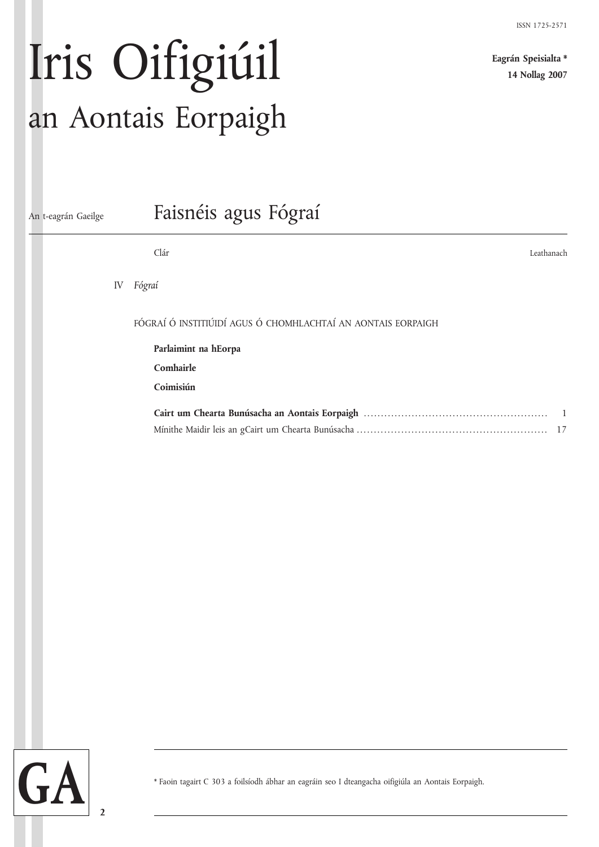**Eagrán Speisialta \* 14 Nollag 2007**

# Iris Oifigiúil an Aontais Eorpaigh

| An t-eagrán Gaeilge |    | Faisnéis agus Fógraí                                         |
|---------------------|----|--------------------------------------------------------------|
|                     |    | Clár<br>Leathanach                                           |
|                     | IV | Fógraí                                                       |
|                     |    | FÓGRAÍ Ó INSTITIÚIDÍ AGUS Ó CHOMHLACHTAÍ AN AONTAIS EORPAIGH |
|                     |    | Parlaimint na hEorpa                                         |
|                     |    | Comhairle                                                    |
|                     |    | Coimisiún                                                    |
|                     |    | $\overline{1}$                                               |
|                     |    |                                                              |
|                     |    |                                                              |
|                     |    |                                                              |
|                     |    |                                                              |
|                     |    |                                                              |
|                     |    |                                                              |

**2**

\* Faoin tagairt C 303 a foilsíodh ábhar an eagráin seo I dteangacha oifigiúla an Aontais Eorpaigh.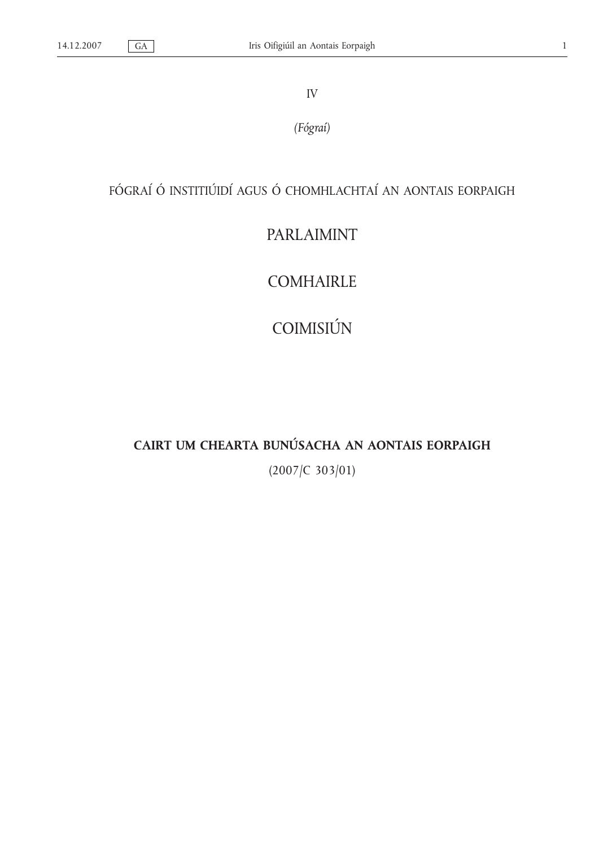IV

*(Fógraí)*

## FÓGRAÍ Ó INSTITIÚIDÍ AGUS Ó CHOMHLACHTAÍ AN AONTAIS EORPAIGH

## PARLAIMINT

COMHAIRLE

COIMISIÚN

## **CAIRT UM CHEARTA BUNÚSACHA AN AONTAIS EORPAIGH**

(2007/C 303/01)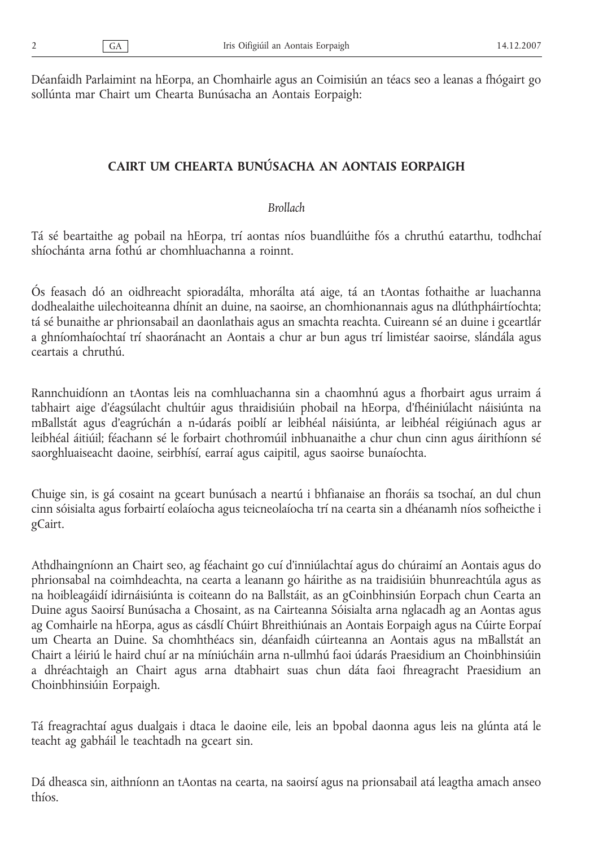Déanfaidh Parlaimint na hEorpa, an Chomhairle agus an Coimisiún an téacs seo a leanas a fhógairt go sollúnta mar Chairt um Chearta Bunúsacha an Aontais Eorpaigh:

## **CAIRT UM CHEARTA BUNÚSACHA AN AONTAIS EORPAIGH**

## *Brollach*

Tá sé beartaithe ag pobail na hEorpa, trí aontas níos buandlúithe fós a chruthú eatarthu, todhchaí shíochánta arna fothú ar chomhluachanna a roinnt.

Ós feasach dó an oidhreacht spioradálta, mhorálta atá aige, tá an tAontas fothaithe ar luachanna dodhealaithe uilechoiteanna dhínit an duine, na saoirse, an chomhionannais agus na dlúthpháirtíochta; tá sé bunaithe ar phrionsabail an daonlathais agus an smachta reachta. Cuireann sé an duine i gceartlár a ghníomhaíochtaí trí shaoránacht an Aontais a chur ar bun agus trí limistéar saoirse, slándála agus ceartais a chruthú.

Rannchuidíonn an tAontas leis na comhluachanna sin a chaomhnú agus a fhorbairt agus urraim á tabhairt aige d'éagsúlacht chultúir agus thraidisiúin phobail na hEorpa, d'fhéiniúlacht náisiúnta na mBallstát agus d'eagrúchán a n-údarás poiblí ar leibhéal náisiúnta, ar leibhéal réigiúnach agus ar leibhéal áitiúil; féachann sé le forbairt chothromúil inbhuanaithe a chur chun cinn agus áirithíonn sé saorghluaiseacht daoine, seirbhísí, earraí agus caipitil, agus saoirse bunaíochta.

Chuige sin, is gá cosaint na gceart bunúsach a neartú i bhfianaise an fhoráis sa tsochaí, an dul chun cinn sóisialta agus forbairtí eolaíocha agus teicneolaíocha trí na cearta sin a dhéanamh níos sofheicthe i gCairt.

Athdhaingníonn an Chairt seo, ag féachaint go cuí d'inniúlachtaí agus do chúraimí an Aontais agus do phrionsabal na coimhdeachta, na cearta a leanann go háirithe as na traidisiúin bhunreachtúla agus as na hoibleagáidí idirnáisiúnta is coiteann do na Ballstáit, as an gCoinbhinsiún Eorpach chun Cearta an Duine agus Saoirsí Bunúsacha a Chosaint, as na Cairteanna Sóisialta arna nglacadh ag an Aontas agus ag Comhairle na hEorpa, agus as cásdlí Chúirt Bhreithiúnais an Aontais Eorpaigh agus na Cúirte Eorpaí um Chearta an Duine. Sa chomhthéacs sin, déanfaidh cúirteanna an Aontais agus na mBallstát an Chairt a léiriú le haird chuí ar na míniúcháin arna n-ullmhú faoi údarás Praesidium an Choinbhinsiúin a dhréachtaigh an Chairt agus arna dtabhairt suas chun dáta faoi fhreagracht Praesidium an Choinbhinsiúin Eorpaigh.

Tá freagrachtaí agus dualgais i dtaca le daoine eile, leis an bpobal daonna agus leis na glúnta atá le teacht ag gabháil le teachtadh na gceart sin.

Dá dheasca sin, aithníonn an tAontas na cearta, na saoirsí agus na prionsabail atá leagtha amach anseo thíos.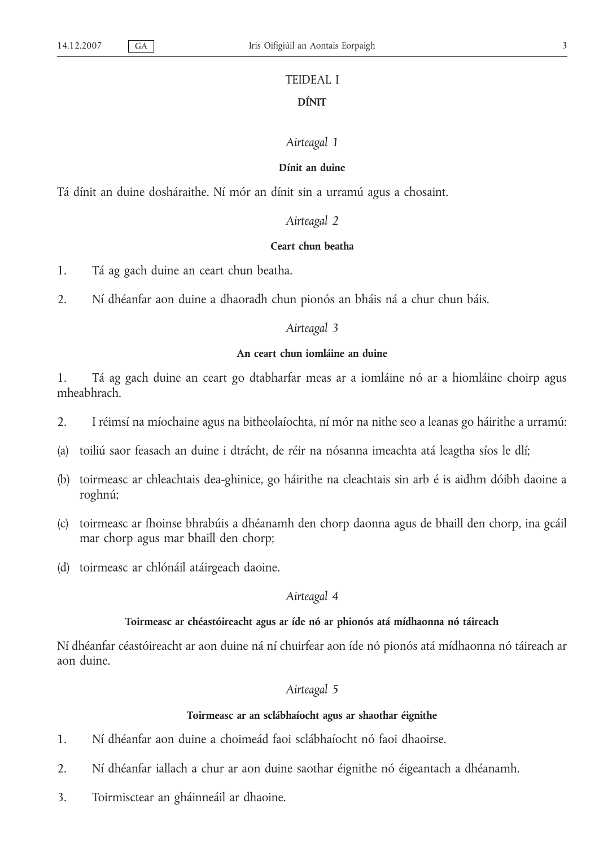## TEIDEAL I **DÍNIT**

## *Airteagal 1*

#### **Dínit an duine**

Tá dínit an duine dosháraithe. Ní mór an dínit sin a urramú agus a chosaint.

## *Airteagal 2*

#### **Ceart chun beatha**

- 1. Tá ag gach duine an ceart chun beatha.
- 2. Ní dhéanfar aon duine a dhaoradh chun pionós an bháis ná a chur chun báis.

#### *Airteagal 3*

## **An ceart chun iomláine an duine**

1. Tá ag gach duine an ceart go dtabharfar meas ar a iomláine nó ar a hiomláine choirp agus mheabhrach.

- 2. I réimsí na míochaine agus na bitheolaíochta, ní mór na nithe seo a leanas go háirithe a urramú:
- (a) toiliú saor feasach an duine i dtrácht, de réir na nósanna imeachta atá leagtha síos le dlí;
- (b) toirmeasc ar chleachtais dea-ghinice, go háirithe na cleachtais sin arb é is aidhm dóibh daoine a roghnú;
- (c) toirmeasc ar fhoinse bhrabúis a dhéanamh den chorp daonna agus de bhaill den chorp, ina gcáil mar chorp agus mar bhaill den chorp;
- (d) toirmeasc ar chlónáil atáirgeach daoine.

#### *Airteagal 4*

## **Toirmeasc ar chéastóireacht agus ar íde nó ar phionós atá mídhaonna nó táireach**

Ní dhéanfar céastóireacht ar aon duine ná ní chuirfear aon íde nó pionós atá mídhaonna nó táireach ar aon duine.

#### *Airteagal 5*

#### **Toirmeasc ar an sclábhaíocht agus ar shaothar éignithe**

- 1. Ní dhéanfar aon duine a choimeád faoi sclábhaíocht nó faoi dhaoirse.
- 2. Ní dhéanfar iallach a chur ar aon duine saothar éignithe nó éigeantach a dhéanamh.
- 3. Toirmisctear an gháinneáil ar dhaoine.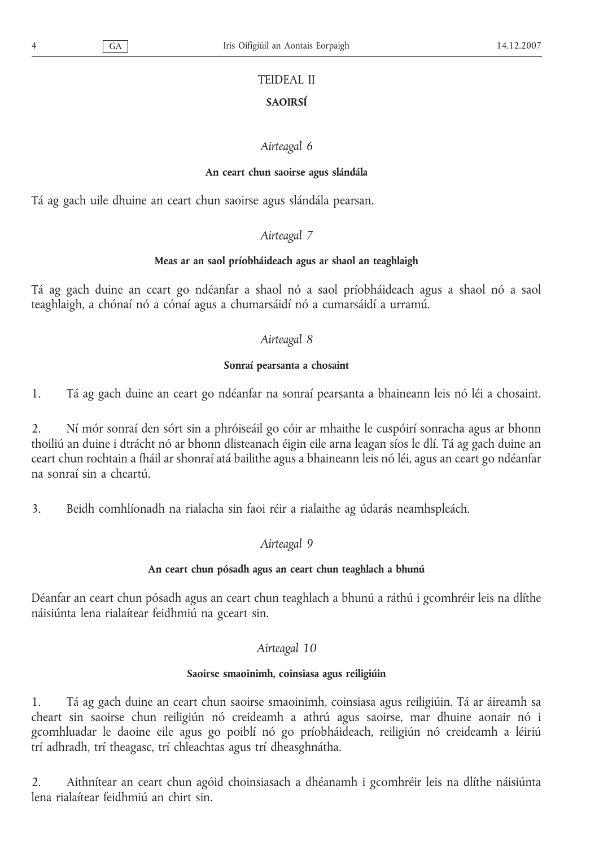## TEIDEAL II

## **SAOIRSÍ**

## *Airteagal 6*

## **An ceart chun saoirse agus slándála**

Tá ag gach uile dhuine an ceart chun saoirse agus slándála pearsan.

## *Airteagal 7*

## **Meas ar an saol príobháideach agus ar shaol an teaghlaigh**

Tá ag gach duine an ceart go ndéanfar a shaol nó a saol príobháideach agus a shaol nó a saol teaghlaigh, a chónaí nó a cónaí agus a chumarsáidí nó a cumarsáidí a urramú.

## *Airteagal 8*

## **Sonraí pearsanta a chosaint**

1. Tá ag gach duine an ceart go ndéanfar na sonraí pearsanta a bhaineann leis nó léi a chosaint.

2. Ní mór sonraí den sórt sin a phróiseáil go cóir ar mhaithe le cuspóirí sonracha agus ar bhonn thoiliú an duine i dtrácht nó ar bhonn dlisteanach éigin eile arna leagan síos le dlí. Tá ag gach duine an ceart chun rochtain a fháil ar shonraí atá bailithe agus a bhaineann leis nó léi, agus an ceart go ndéanfar na sonraí sin a cheartú.

3. Beidh comhlíonadh na rialacha sin faoi réir a rialaithe ag údarás neamhspleách.

## *Airteagal 9*

## **An ceart chun pósadh agus an ceart chun teaghlach a bhunú**

Déanfar an ceart chun pósadh agus an ceart chun teaghlach a bhunú a ráthú i gcomhréir leis na dlíthe náisiúnta lena rialaítear feidhmiú na gceart sin.

## *Airteagal 10*

## **Saoirse smaoinimh, coinsiasa agus reiligiúin**

1. Tá ag gach duine an ceart chun saoirse smaoinimh, coinsiasa agus reiligiúin. Tá ar áireamh sa cheart sin saoirse chun reiligiún nó creideamh a athrú agus saoirse, mar dhuine aonair nó i gcomhluadar le daoine eile agus go poiblí nó go príobháideach, reiligiún nó creideamh a léiriú trí adhradh, trí theagasc, trí chleachtas agus trí dheasghnátha.

2. Aithnítear an ceart chun agóid choinsiasach a dhéanamh i gcomhréir leis na dlíthe náisiúnta lena rialaítear feidhmiú an chirt sin.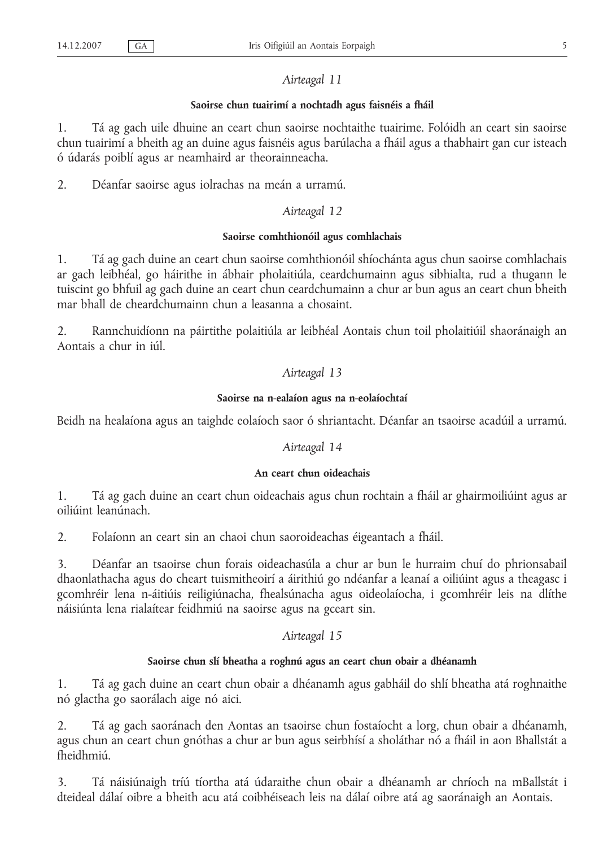#### **Saoirse chun tuairimí a nochtadh agus faisnéis a fháil**

1. Tá ag gach uile dhuine an ceart chun saoirse nochtaithe tuairime. Folóidh an ceart sin saoirse chun tuairimí a bheith ag an duine agus faisnéis agus barúlacha a fháil agus a thabhairt gan cur isteach ó údarás poiblí agus ar neamhaird ar theorainneacha.

2. Déanfar saoirse agus iolrachas na meán a urramú.

## *Airteagal 12*

## **Saoirse comhthionóil agus comhlachais**

1. Tá ag gach duine an ceart chun saoirse comhthionóil shíochánta agus chun saoirse comhlachais ar gach leibhéal, go háirithe in ábhair pholaitiúla, ceardchumainn agus sibhialta, rud a thugann le tuiscint go bhfuil ag gach duine an ceart chun ceardchumainn a chur ar bun agus an ceart chun bheith mar bhall de cheardchumainn chun a leasanna a chosaint.

2. Rannchuidíonn na páirtithe polaitiúla ar leibhéal Aontais chun toil pholaitiúil shaoránaigh an Aontais a chur in iúl.

## *Airteagal 13*

#### **Saoirse na n-ealaíon agus na n-eolaíochtaí**

Beidh na healaíona agus an taighde eolaíoch saor ó shriantacht. Déanfar an tsaoirse acadúil a urramú.

#### *Airteagal 14*

#### **An ceart chun oideachais**

1. Tá ag gach duine an ceart chun oideachais agus chun rochtain a fháil ar ghairmoiliúint agus ar oiliúint leanúnach.

2. Folaíonn an ceart sin an chaoi chun saoroideachas éigeantach a fháil.

3. Déanfar an tsaoirse chun forais oideachasúla a chur ar bun le hurraim chuí do phrionsabail dhaonlathacha agus do cheart tuismitheoirí a áirithiú go ndéanfar a leanaí a oiliúint agus a theagasc i gcomhréir lena n-áitiúis reiligiúnacha, fhealsúnacha agus oideolaíocha, i gcomhréir leis na dlíthe náisiúnta lena rialaítear feidhmiú na saoirse agus na gceart sin.

## *Airteagal 15*

#### **Saoirse chun slí bheatha a roghnú agus an ceart chun obair a dhéanamh**

1. Tá ag gach duine an ceart chun obair a dhéanamh agus gabháil do shlí bheatha atá roghnaithe nó glactha go saorálach aige nó aici.

2. Tá ag gach saoránach den Aontas an tsaoirse chun fostaíocht a lorg, chun obair a dhéanamh, agus chun an ceart chun gnóthas a chur ar bun agus seirbhísí a sholáthar nó a fháil in aon Bhallstát a fheidhmiú.

3. Tá náisiúnaigh tríú tíortha atá údaraithe chun obair a dhéanamh ar chríoch na mBallstát i dteideal dálaí oibre a bheith acu atá coibhéiseach leis na dálaí oibre atá ag saoránaigh an Aontais.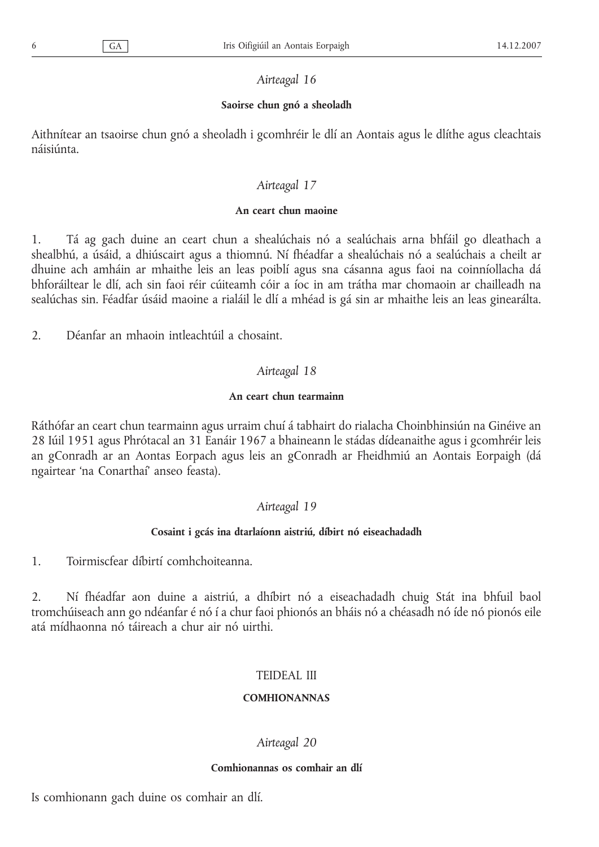## **Saoirse chun gnó a sheoladh**

Aithnítear an tsaoirse chun gnó a sheoladh i gcomhréir le dlí an Aontais agus le dlíthe agus cleachtais náisiúnta.

## *Airteagal 17*

## **An ceart chun maoine**

1. Tá ag gach duine an ceart chun a shealúchais nó a sealúchais arna bhfáil go dleathach a shealbhú, a úsáid, a dhiúscairt agus a thiomnú. Ní fhéadfar a shealúchais nó a sealúchais a cheilt ar dhuine ach amháin ar mhaithe leis an leas poiblí agus sna cásanna agus faoi na coinníollacha dá bhforáiltear le dlí, ach sin faoi réir cúiteamh cóir a íoc in am trátha mar chomaoin ar chailleadh na sealúchas sin. Féadfar úsáid maoine a rialáil le dlí a mhéad is gá sin ar mhaithe leis an leas ginearálta.

2. Déanfar an mhaoin intleachtúil a chosaint.

## *Airteagal 18*

## **An ceart chun tearmainn**

Ráthófar an ceart chun tearmainn agus urraim chuí á tabhairt do rialacha Choinbhinsiún na Ginéive an 28 Iúil 1951 agus Phrótacal an 31 Eanáir 1967 a bhaineann le stádas dídeanaithe agus i gcomhréir leis an gConradh ar an Aontas Eorpach agus leis an gConradh ar Fheidhmiú an Aontais Eorpaigh (dá ngairtear 'na Conarthaí' anseo feasta).

## *Airteagal 19*

## **Cosaint i gcás ina dtarlaíonn aistriú, díbirt nó eiseachadadh**

1. Toirmiscfear díbirtí comhchoiteanna.

2. Ní fhéadfar aon duine a aistriú, a dhíbirt nó a eiseachadadh chuig Stát ina bhfuil baol tromchúiseach ann go ndéanfar é nó í a chur faoi phionós an bháis nó a chéasadh nó íde nó pionós eile atá mídhaonna nó táireach a chur air nó uirthi.

## TEIDEAL III

## **COMHIONANNAS**

## *Airteagal 20*

## **Comhionannas os comhair an dlí**

Is comhionann gach duine os comhair an dlí.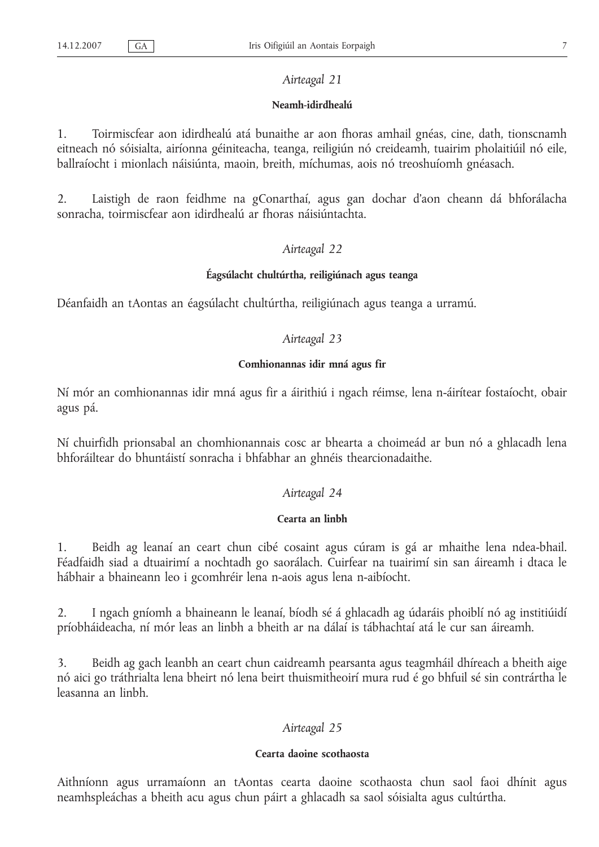#### **Neamh-idirdhealú**

1. Toirmiscfear aon idirdhealú atá bunaithe ar aon fhoras amhail gnéas, cine, dath, tionscnamh eitneach nó sóisialta, airíonna géiniteacha, teanga, reiligiún nó creideamh, tuairim pholaitiúil nó eile, ballraíocht i mionlach náisiúnta, maoin, breith, míchumas, aois nó treoshuíomh gnéasach.

2. Laistigh de raon feidhme na gConarthaí, agus gan dochar d'aon cheann dá bhforálacha sonracha, toirmiscfear aon idirdhealú ar fhoras náisiúntachta.

## *Airteagal 22*

#### **Éagsúlacht chultúrtha, reiligiúnach agus teanga**

Déanfaidh an tAontas an éagsúlacht chultúrtha, reiligiúnach agus teanga a urramú.

#### *Airteagal 23*

#### **Comhionannas idir mná agus fir**

Ní mór an comhionannas idir mná agus fir a áirithiú i ngach réimse, lena n-áirítear fostaíocht, obair agus pá.

Ní chuirfidh prionsabal an chomhionannais cosc ar bhearta a choimeád ar bun nó a ghlacadh lena bhforáiltear do bhuntáistí sonracha i bhfabhar an ghnéis thearcionadaithe.

#### *Airteagal 24*

## **Cearta an linbh**

1. Beidh ag leanaí an ceart chun cibé cosaint agus cúram is gá ar mhaithe lena ndea-bhail. Féadfaidh siad a dtuairimí a nochtadh go saorálach. Cuirfear na tuairimí sin san áireamh i dtaca le hábhair a bhaineann leo i gcomhréir lena n-aois agus lena n-aibíocht.

2. I ngach gníomh a bhaineann le leanaí, bíodh sé á ghlacadh ag údaráis phoiblí nó ag institiúidí príobháideacha, ní mór leas an linbh a bheith ar na dálaí is tábhachtaí atá le cur san áireamh.

3. Beidh ag gach leanbh an ceart chun caidreamh pearsanta agus teagmháil dhíreach a bheith aige nó aici go tráthrialta lena bheirt nó lena beirt thuismitheoirí mura rud é go bhfuil sé sin contrártha le leasanna an linbh.

#### *Airteagal 25*

#### **Cearta daoine scothaosta**

Aithníonn agus urramaíonn an tAontas cearta daoine scothaosta chun saol faoi dhínit agus neamhspleáchas a bheith acu agus chun páirt a ghlacadh sa saol sóisialta agus cultúrtha.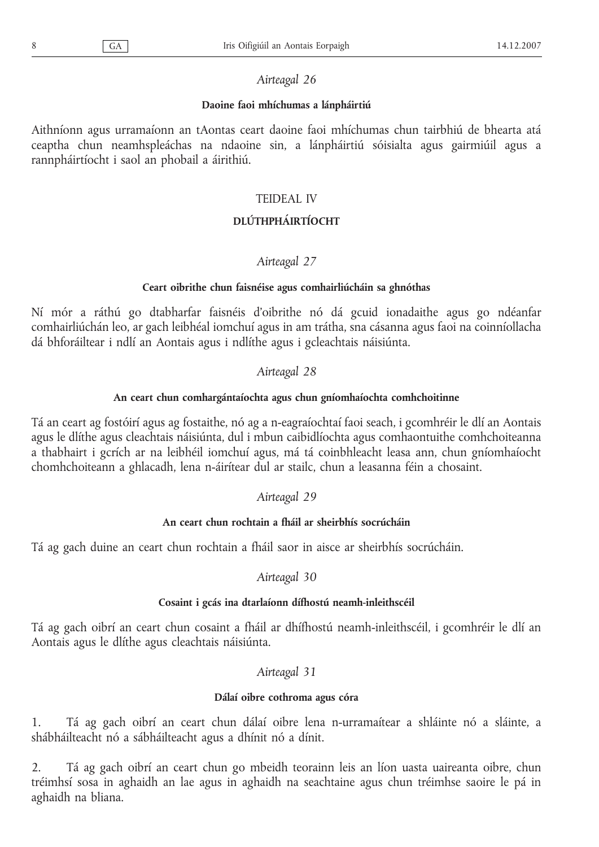## **Daoine faoi mhíchumas a lánpháirtiú**

Aithníonn agus urramaíonn an tAontas ceart daoine faoi mhíchumas chun tairbhiú de bhearta atá ceaptha chun neamhspleáchas na ndaoine sin, a lánpháirtiú sóisialta agus gairmiúil agus a rannpháirtíocht i saol an phobail a áirithiú.

## TEIDEAL IV

## **DLÚTHPHÁIRTÍOCHT**

## *Airteagal 27*

## **Ceart oibrithe chun faisnéise agus comhairliúcháin sa ghnóthas**

Ní mór a ráthú go dtabharfar faisnéis d'oibrithe nó dá gcuid ionadaithe agus go ndéanfar comhairliúchán leo, ar gach leibhéal iomchuí agus in am trátha, sna cásanna agus faoi na coinníollacha dá bhforáiltear i ndlí an Aontais agus i ndlíthe agus i gcleachtais náisiúnta.

## *Airteagal 28*

## **An ceart chun comhargántaíochta agus chun gníomhaíochta comhchoitinne**

Tá an ceart ag fostóirí agus ag fostaithe, nó ag a n-eagraíochtaí faoi seach, i gcomhréir le dlí an Aontais agus le dlíthe agus cleachtais náisiúnta, dul i mbun caibidlíochta agus comhaontuithe comhchoiteanna a thabhairt i gcrích ar na leibhéil iomchuí agus, má tá coinbhleacht leasa ann, chun gníomhaíocht chomhchoiteann a ghlacadh, lena n-áirítear dul ar stailc, chun a leasanna féin a chosaint.

## *Airteagal 29*

## **An ceart chun rochtain a fháil ar sheirbhís socrúcháin**

Tá ag gach duine an ceart chun rochtain a fháil saor in aisce ar sheirbhís socrúcháin.

## *Airteagal 30*

#### **Cosaint i gcás ina dtarlaíonn dífhostú neamh-inleithscéil**

Tá ag gach oibrí an ceart chun cosaint a fháil ar dhífhostú neamh-inleithscéil, i gcomhréir le dlí an Aontais agus le dlíthe agus cleachtais náisiúnta.

## *Airteagal 31*

## **Dálaí oibre cothroma agus córa**

1. Tá ag gach oibrí an ceart chun dálaí oibre lena n-urramaítear a shláinte nó a sláinte, a shábháilteacht nó a sábháilteacht agus a dhínit nó a dínit.

2. Tá ag gach oibrí an ceart chun go mbeidh teorainn leis an líon uasta uaireanta oibre, chun tréimhsí sosa in aghaidh an lae agus in aghaidh na seachtaine agus chun tréimhse saoire le pá in aghaidh na bliana.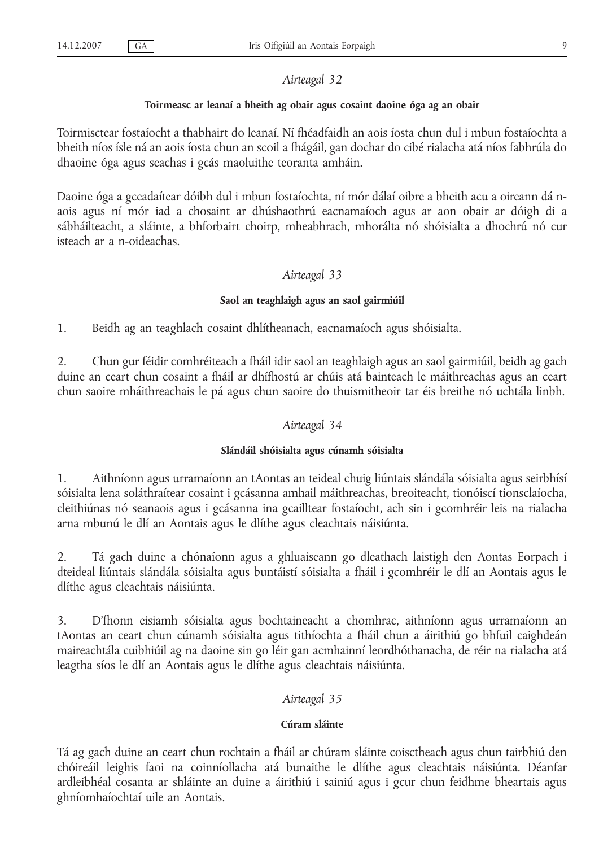#### **Toirmeasc ar leanaí a bheith ag obair agus cosaint daoine óga ag an obair**

Toirmisctear fostaíocht a thabhairt do leanaí. Ní fhéadfaidh an aois íosta chun dul i mbun fostaíochta a bheith níos ísle ná an aois íosta chun an scoil a fhágáil, gan dochar do cibé rialacha atá níos fabhrúla do dhaoine óga agus seachas i gcás maoluithe teoranta amháin.

Daoine óga a gceadaítear dóibh dul i mbun fostaíochta, ní mór dálaí oibre a bheith acu a oireann dá naois agus ní mór iad a chosaint ar dhúshaothrú eacnamaíoch agus ar aon obair ar dóigh di a sábháilteacht, a sláinte, a bhforbairt choirp, mheabhrach, mhorálta nó shóisialta a dhochrú nó cur isteach ar a n-oideachas.

#### *Airteagal 33*

#### **Saol an teaghlaigh agus an saol gairmiúil**

1. Beidh ag an teaghlach cosaint dhlítheanach, eacnamaíoch agus shóisialta.

2. Chun gur féidir comhréiteach a fháil idir saol an teaghlaigh agus an saol gairmiúil, beidh ag gach duine an ceart chun cosaint a fháil ar dhífhostú ar chúis atá bainteach le máithreachas agus an ceart chun saoire mháithreachais le pá agus chun saoire do thuismitheoir tar éis breithe nó uchtála linbh.

#### *Airteagal 34*

#### **Slándáil shóisialta agus cúnamh sóisialta**

1. Aithníonn agus urramaíonn an tAontas an teideal chuig liúntais slándála sóisialta agus seirbhísí sóisialta lena soláthraítear cosaint i gcásanna amhail máithreachas, breoiteacht, tionóiscí tionsclaíocha, cleithiúnas nó seanaois agus i gcásanna ina gcailltear fostaíocht, ach sin i gcomhréir leis na rialacha arna mbunú le dlí an Aontais agus le dlíthe agus cleachtais náisiúnta.

2. Tá gach duine a chónaíonn agus a ghluaiseann go dleathach laistigh den Aontas Eorpach i dteideal liúntais slándála sóisialta agus buntáistí sóisialta a fháil i gcomhréir le dlí an Aontais agus le dlíthe agus cleachtais náisiúnta.

3. D'fhonn eisiamh sóisialta agus bochtaineacht a chomhrac, aithníonn agus urramaíonn an tAontas an ceart chun cúnamh sóisialta agus tithíochta a fháil chun a áirithiú go bhfuil caighdeán maireachtála cuibhiúil ag na daoine sin go léir gan acmhainní leordhóthanacha, de réir na rialacha atá leagtha síos le dlí an Aontais agus le dlíthe agus cleachtais náisiúnta.

#### *Airteagal 35*

#### **Cúram sláinte**

Tá ag gach duine an ceart chun rochtain a fháil ar chúram sláinte coisctheach agus chun tairbhiú den chóireáil leighis faoi na coinníollacha atá bunaithe le dlíthe agus cleachtais náisiúnta. Déanfar ardleibhéal cosanta ar shláinte an duine a áirithiú i sainiú agus i gcur chun feidhme bheartais agus ghníomhaíochtaí uile an Aontais.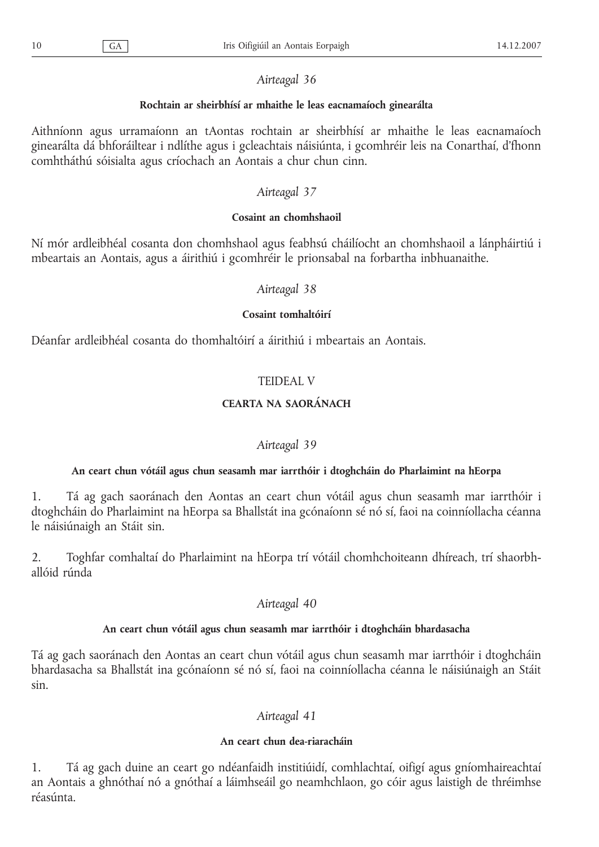## **Rochtain ar sheirbhísí ar mhaithe le leas eacnamaíoch ginearálta**

Aithníonn agus urramaíonn an tAontas rochtain ar sheirbhísí ar mhaithe le leas eacnamaíoch ginearálta dá bhforáiltear i ndlíthe agus i gcleachtais náisiúnta, i gcomhréir leis na Conarthaí, d'fhonn comhtháthú sóisialta agus críochach an Aontais a chur chun cinn.

## *Airteagal 37*

## **Cosaint an chomhshaoil**

Ní mór ardleibhéal cosanta don chomhshaol agus feabhsú cháilíocht an chomhshaoil a lánpháirtiú i mbeartais an Aontais, agus a áirithiú i gcomhréir le prionsabal na forbartha inbhuanaithe.

## *Airteagal 38*

## **Cosaint tomhaltóirí**

Déanfar ardleibhéal cosanta do thomhaltóirí a áirithiú i mbeartais an Aontais.

## TEIDEAL V

## **CEARTA NA SAORÁNACH**

## *Airteagal 39*

## **An ceart chun vótáil agus chun seasamh mar iarrthóir i dtoghcháin do Pharlaimint na hEorpa**

1. Tá ag gach saoránach den Aontas an ceart chun vótáil agus chun seasamh mar iarrthóir i dtoghcháin do Pharlaimint na hEorpa sa Bhallstát ina gcónaíonn sé nó sí, faoi na coinníollacha céanna le náisiúnaigh an Stáit sin.

2. Toghfar comhaltaí do Pharlaimint na hEorpa trí vótáil chomhchoiteann dhíreach, trí shaorbhallóid rúnda

## *Airteagal 40*

## **An ceart chun vótáil agus chun seasamh mar iarrthóir i dtoghcháin bhardasacha**

Tá ag gach saoránach den Aontas an ceart chun vótáil agus chun seasamh mar iarrthóir i dtoghcháin bhardasacha sa Bhallstát ina gcónaíonn sé nó sí, faoi na coinníollacha céanna le náisiúnaigh an Stáit sin.

## *Airteagal 41*

## **An ceart chun dea-riaracháin**

1. Tá ag gach duine an ceart go ndéanfaidh institiúidí, comhlachtaí, oifigí agus gníomhaireachtaí an Aontais a ghnóthaí nó a gnóthaí a láimhseáil go neamhchlaon, go cóir agus laistigh de thréimhse réasúnta.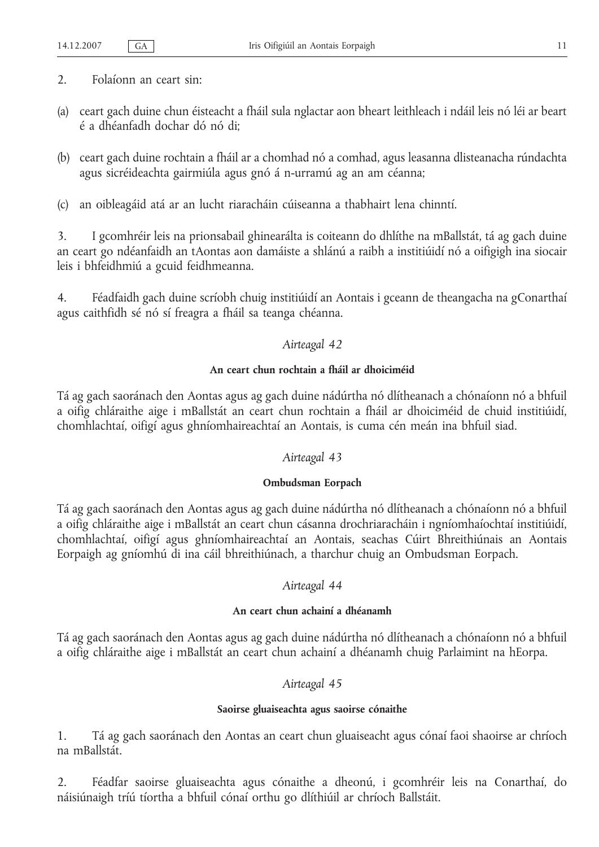- 2. Folaíonn an ceart sin:
- (a) ceart gach duine chun éisteacht a fháil sula nglactar aon bheart leithleach i ndáil leis nó léi ar beart é a dhéanfadh dochar dó nó di;
- (b) ceart gach duine rochtain a fháil ar a chomhad nó a comhad, agus leasanna dlisteanacha rúndachta agus sicréideachta gairmiúla agus gnó á n-urramú ag an am céanna;
- (c) an oibleagáid atá ar an lucht riaracháin cúiseanna a thabhairt lena chinntí.

3. I gcomhréir leis na prionsabail ghinearálta is coiteann do dhlíthe na mBallstát, tá ag gach duine an ceart go ndéanfaidh an tAontas aon damáiste a shlánú a raibh a institiúidí nó a oifigigh ina siocair leis i bhfeidhmiú a gcuid feidhmeanna.

4. Féadfaidh gach duine scríobh chuig institiúidí an Aontais i gceann de theangacha na gConarthaí agus caithfidh sé nó sí freagra a fháil sa teanga chéanna.

## *Airteagal 42*

## **An ceart chun rochtain a fháil ar dhoiciméid**

Tá ag gach saoránach den Aontas agus ag gach duine nádúrtha nó dlítheanach a chónaíonn nó a bhfuil a oifig chláraithe aige i mBallstát an ceart chun rochtain a fháil ar dhoiciméid de chuid institiúidí, chomhlachtaí, oifigí agus ghníomhaireachtaí an Aontais, is cuma cén meán ina bhfuil siad.

#### *Airteagal 43*

#### **Ombudsman Eorpach**

Tá ag gach saoránach den Aontas agus ag gach duine nádúrtha nó dlítheanach a chónaíonn nó a bhfuil a oifig chláraithe aige i mBallstát an ceart chun cásanna drochriaracháin i ngníomhaíochtaí institiúidí, chomhlachtaí, oifigí agus ghníomhaireachtaí an Aontais, seachas Cúirt Bhreithiúnais an Aontais Eorpaigh ag gníomhú di ina cáil bhreithiúnach, a tharchur chuig an Ombudsman Eorpach.

#### *Airteagal 44*

## **An ceart chun achainí a dhéanamh**

Tá ag gach saoránach den Aontas agus ag gach duine nádúrtha nó dlítheanach a chónaíonn nó a bhfuil a oifig chláraithe aige i mBallstát an ceart chun achainí a dhéanamh chuig Parlaimint na hEorpa.

## *Airteagal 45*

#### **Saoirse gluaiseachta agus saoirse cónaithe**

1. Tá ag gach saoránach den Aontas an ceart chun gluaiseacht agus cónaí faoi shaoirse ar chríoch na mBallstát.

2. Féadfar saoirse gluaiseachta agus cónaithe a dheonú, i gcomhréir leis na Conarthaí, do náisiúnaigh tríú tíortha a bhfuil cónaí orthu go dlíthiúil ar chríoch Ballstáit.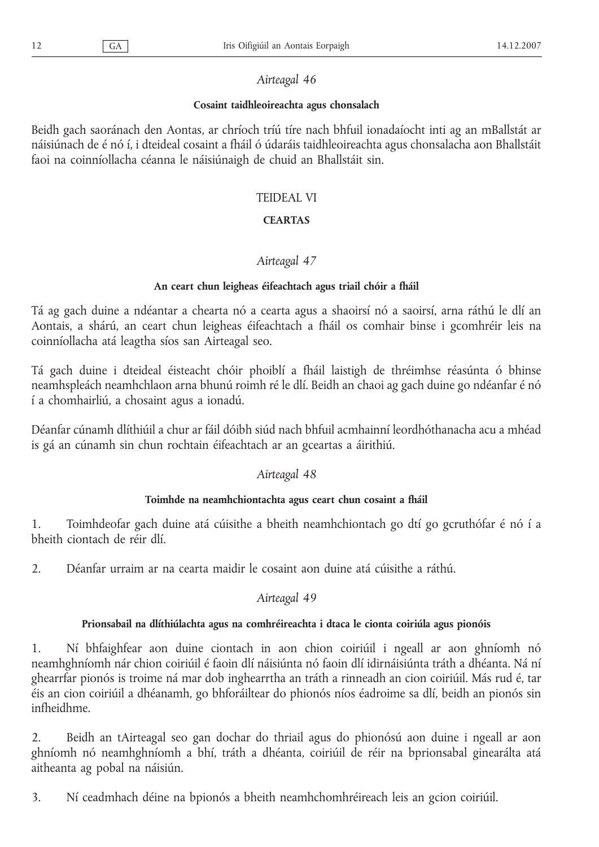## **Cosaint taidhleoireachta agus chonsalach**

Beidh gach saoránach den Aontas, ar chríoch tríú tíre nach bhfuil ionadaíocht inti ag an mBallstát ar náisiúnach de é nó í, i dteideal cosaint a fháil ó údaráis taidhleoireachta agus chonsalacha aon Bhallstáit faoi na coinníollacha céanna le náisiúnaigh de chuid an Bhallstáit sin.

## TEIDEAL VI

## **CEARTAS**

## *Airteagal 47*

## **An ceart chun leigheas éifeachtach agus triail chóir a fháil**

Tá ag gach duine a ndéantar a chearta nó a cearta agus a shaoirsí nó a saoirsí, arna ráthú le dlí an Aontais, a shárú, an ceart chun leigheas éifeachtach a fháil os comhair binse i gcomhréir leis na coinníollacha atá leagtha síos san Airteagal seo.

Tá gach duine i dteideal éisteacht chóir phoiblí a fháil laistigh de thréimhse réasúnta ó bhinse neamhspleách neamhchlaon arna bhunú roimh ré le dlí. Beidh an chaoi ag gach duine go ndéanfar é nó í a chomhairliú, a chosaint agus a ionadú.

Déanfar cúnamh dlíthiúil a chur ar fáil dóibh siúd nach bhfuil acmhainní leordhóthanacha acu a mhéad is gá an cúnamh sin chun rochtain éifeachtach ar an gceartas a áirithiú.

## *Airteagal 48*

## **Toimhde na neamhchiontachta agus ceart chun cosaint a fháil**

1. Toimhdeofar gach duine atá cúisithe a bheith neamhchiontach go dtí go gcruthófar é nó í a bheith ciontach de réir dlí.

2. Déanfar urraim ar na cearta maidir le cosaint aon duine atá cúisithe a ráthú.

## *Airteagal 49*

## **Prionsabail na dlíthiúlachta agus na comhréireachta i dtaca le cionta coiriúla agus pionóis**

1. Ní bhfaighfear aon duine ciontach in aon chion coiriúil i ngeall ar aon ghníomh nó neamhghníomh nár chion coiriúil é faoin dlí náisiúnta nó faoin dlí idirnáisiúnta tráth a dhéanta. Ná ní ghearrfar pionós is troime ná mar dob inghearrtha an tráth a rinneadh an cion coiriúil. Más rud é, tar éis an cion coiriúil a dhéanamh, go bhforáiltear do phionós níos éadroime sa dlí, beidh an pionós sin infheidhme.

2. Beidh an tAirteagal seo gan dochar do thriail agus do phionósú aon duine i ngeall ar aon ghníomh nó neamhghníomh a bhí, tráth a dhéanta, coiriúil de réir na bprionsabal ginearálta atá aitheanta ag pobal na náisiún.

3. Ní ceadmhach déine na bpionós a bheith neamhchomhréireach leis an gcion coiriúil.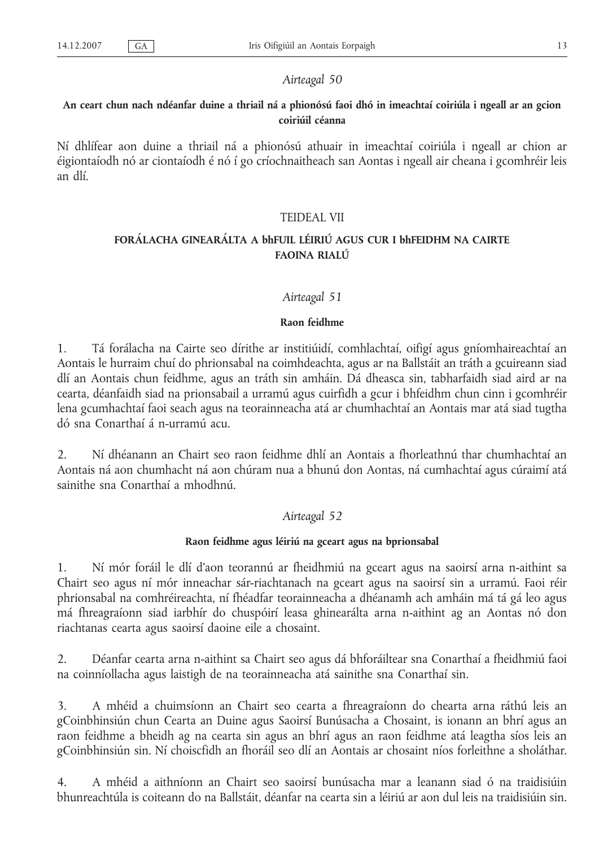## **An ceart chun nach ndéanfar duine a thriail ná a phionósú faoi dhó in imeachtaí coiriúla i ngeall ar an gcion coiriúil céanna**

Ní dhlífear aon duine a thriail ná a phionósú athuair in imeachtaí coiriúla i ngeall ar chion ar éigiontaíodh nó ar ciontaíodh é nó í go críochnaitheach san Aontas i ngeall air cheana i gcomhréir leis an dlí.

## TEIDEAL VII

## **FORÁLACHA GINEARÁLTA A bhFUIL LÉIRIÚ AGUS CUR I bhFEIDHM NA CAIRTE FAOINA RIALÚ**

#### *Airteagal 51*

#### **Raon feidhme**

1. Tá forálacha na Cairte seo dírithe ar institiúidí, comhlachtaí, oifigí agus gníomhaireachtaí an Aontais le hurraim chuí do phrionsabal na coimhdeachta, agus ar na Ballstáit an tráth a gcuireann siad dlí an Aontais chun feidhme, agus an tráth sin amháin. Dá dheasca sin, tabharfaidh siad aird ar na cearta, déanfaidh siad na prionsabail a urramú agus cuirfidh a gcur i bhfeidhm chun cinn i gcomhréir lena gcumhachtaí faoi seach agus na teorainneacha atá ar chumhachtaí an Aontais mar atá siad tugtha dó sna Conarthaí á n-urramú acu.

2. Ní dhéanann an Chairt seo raon feidhme dhlí an Aontais a fhorleathnú thar chumhachtaí an Aontais ná aon chumhacht ná aon chúram nua a bhunú don Aontas, ná cumhachtaí agus cúraimí atá sainithe sna Conarthaí a mhodhnú.

#### *Airteagal 52*

#### **Raon feidhme agus léiriú na gceart agus na bprionsabal**

1. Ní mór foráil le dlí d'aon teorannú ar fheidhmiú na gceart agus na saoirsí arna n-aithint sa Chairt seo agus ní mór inneachar sár-riachtanach na gceart agus na saoirsí sin a urramú. Faoi réir phrionsabal na comhréireachta, ní fhéadfar teorainneacha a dhéanamh ach amháin má tá gá leo agus má fhreagraíonn siad iarbhír do chuspóirí leasa ghinearálta arna n-aithint ag an Aontas nó don riachtanas cearta agus saoirsí daoine eile a chosaint.

2. Déanfar cearta arna n-aithint sa Chairt seo agus dá bhforáiltear sna Conarthaí a fheidhmiú faoi na coinníollacha agus laistigh de na teorainneacha atá sainithe sna Conarthaí sin.

3. A mhéid a chuimsíonn an Chairt seo cearta a fhreagraíonn do chearta arna ráthú leis an gCoinbhinsiún chun Cearta an Duine agus Saoirsí Bunúsacha a Chosaint, is ionann an bhrí agus an raon feidhme a bheidh ag na cearta sin agus an bhrí agus an raon feidhme atá leagtha síos leis an gCoinbhinsiún sin. Ní choiscfidh an fhoráil seo dlí an Aontais ar chosaint níos forleithne a sholáthar.

4. A mhéid a aithníonn an Chairt seo saoirsí bunúsacha mar a leanann siad ó na traidisiúin bhunreachtúla is coiteann do na Ballstáit, déanfar na cearta sin a léiriú ar aon dul leis na traidisiúin sin.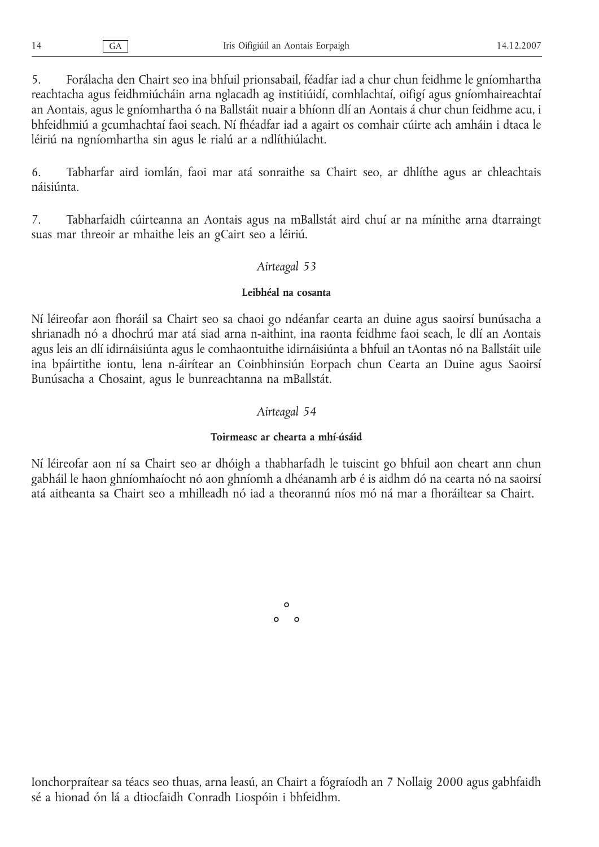5. Forálacha den Chairt seo ina bhfuil prionsabail, féadfar iad a chur chun feidhme le gníomhartha reachtacha agus feidhmiúcháin arna nglacadh ag institiúidí, comhlachtaí, oifigí agus gníomhaireachtaí an Aontais, agus le gníomhartha ó na Ballstáit nuair a bhíonn dlí an Aontais á chur chun feidhme acu, i bhfeidhmiú a gcumhachtaí faoi seach. Ní fhéadfar iad a agairt os comhair cúirte ach amháin i dtaca le léiriú na ngníomhartha sin agus le rialú ar a ndlíthiúlacht.

6. Tabharfar aird iomlán, faoi mar atá sonraithe sa Chairt seo, ar dhlíthe agus ar chleachtais náisiúnta.

7. Tabharfaidh cúirteanna an Aontais agus na mBallstát aird chuí ar na mínithe arna dtarraingt suas mar threoir ar mhaithe leis an gCairt seo a léiriú.

## *Airteagal 53*

## **Leibhéal na cosanta**

Ní léireofar aon fhoráil sa Chairt seo sa chaoi go ndéanfar cearta an duine agus saoirsí bunúsacha a shrianadh nó a dhochrú mar atá siad arna n-aithint, ina raonta feidhme faoi seach, le dlí an Aontais agus leis an dlí idirnáisiúnta agus le comhaontuithe idirnáisiúnta a bhfuil an tAontas nó na Ballstáit uile ina bpáirtithe iontu, lena n-áirítear an Coinbhinsiún Eorpach chun Cearta an Duine agus Saoirsí Bunúsacha a Chosaint, agus le bunreachtanna na mBallstát.

## *Airteagal 54*

## **Toirmeasc ar chearta a mhí-úsáid**

Ní léireofar aon ní sa Chairt seo ar dhóigh a thabharfadh le tuiscint go bhfuil aon cheart ann chun gabháil le haon ghníomhaíocht nó aon ghníomh a dhéanamh arb é is aidhm dó na cearta nó na saoirsí atá aitheanta sa Chairt seo a mhilleadh nó iad a theorannú níos mó ná mar a fhoráiltear sa Chairt.

> °  $\circ$   $\circ$

Ionchorpraítear sa téacs seo thuas, arna leasú, an Chairt a fógraíodh an 7 Nollaig 2000 agus gabhfaidh sé a hionad ón lá a dtiocfaidh Conradh Liospóin i bhfeidhm.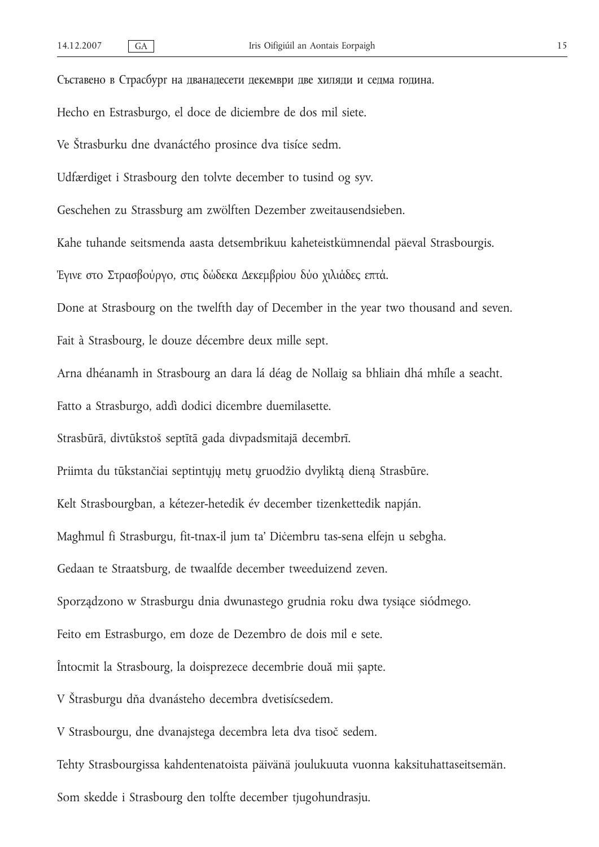Съставено в Страсбург на дванадесети декември две хиляди и седма година. Hecho en Estrasburgo, el doce de diciembre de dos mil siete. Ve Štrasburku dne dvanáctého prosince dva tisíce sedm. Udfærdiget i Strasbourg den tolvte december to tusind og syv. Geschehen zu Strassburg am zwölften Dezember zweitausendsieben. Kahe tuhande seitsmenda aasta detsembrikuu kaheteistkümnendal päeval Strasbourgis. Έγινε στo Στρασβoύργo, στις δώδεκα Δεκεμβρίου δύο χιλιάδες επτά. Done at Strasbourg on the twelfth day of December in the year two thousand and seven. Fait à Strasbourg, le douze décembre deux mille sept. Arna dhéanamh in Strasbourg an dara lá déag de Nollaig sa bhliain dhá mhíle a seacht. Fatto a Strasburgo, addì dodici dicembre duemilasette. Strasbūrā, divtūkstoš septītā gada divpadsmitajā decembrī. Priimta du tūkstančiai septintųjų metų gruodžio dvyliktą dieną Strasbūre. Kelt Strasbourgban, a kétezer-hetedik év december tizenkettedik napján. Magħmul fi Strasburgu, fit-tnax-il jum ta' Diċembru tas-sena elfejn u sebgħa. Gedaan te Straatsburg, de twaalfde december tweeduizend zeven. Sporządzono w Strasburgu dnia dwunastego grudnia roku dwa tysiące siódmego. Feito em Estrasburgo, em doze de Dezembro de dois mil e sete. Întocmit la Strasbourg, la doisprezece decembrie două mii șapte. V Štrasburgu dňa dvanásteho decembra dvetisícsedem. V Strasbourgu, dne dvanajstega decembra leta dva tisoč sedem.

Tehty Strasbourgissa kahdentenatoista päivänä joulukuuta vuonna kaksituhattaseitsemän. Som skedde i Strasbourg den tolfte december tjugohundrasju.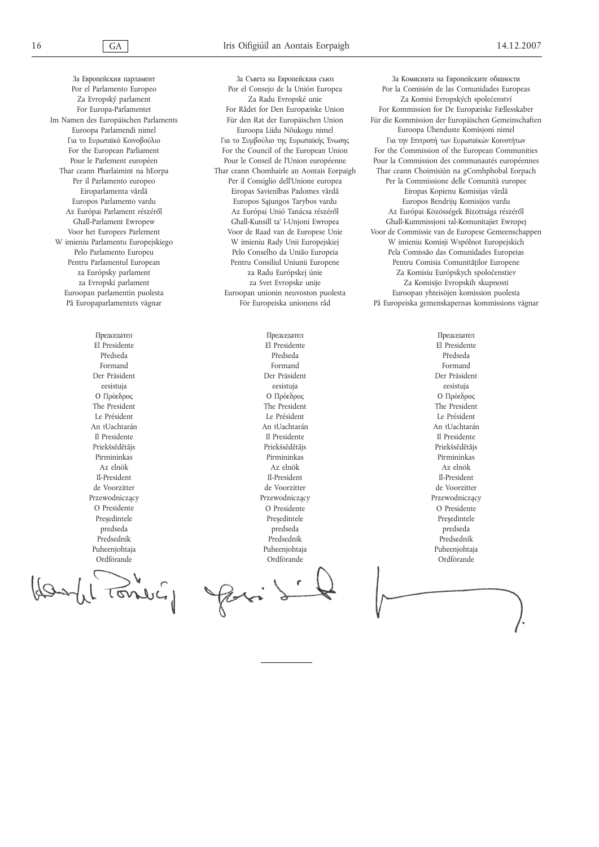За Европейския парламент Por el Parlamento Europeo Za Evropský parlament For Europa-Parlamentet Im Namen des Europäischen Parlaments Euroopa Parlamendi nimel Για το Ευρωπαϊκό Κοινοβούλιο For the European Parliament Pour le Parlement européen Thar ceann Pharlaimint na hEorpa Per il Parlamento europeo Eiroparlamenta vārdā Europos Parlamento vardu Az Európai Parlament részéről Għall-Parlament Ewropew Voor het Europees Parlement W imieniu Parlamentu Europejskiego Pelo Parlamento Europeu Pentru Parlamentul European za Európsky parlament za Evropski parlament Euroopan parlamentin puolesta På Europaparlamentets vägnar

> Председател El Presidente Předseda Formand Der Präsident eesistuja Ο Πρόεδρος The President Le Président An tUachtarán Il Presidente Priekšsēdētājs Pirmininkas Az elnök Il-President de Voorzitter Przewodniczący O Presidente Preşedintele predseda Predsednik Puheenjohtaja Ordförande

> > $\overline{(\sigma\circ)}$

За Съвета на Европейския съюз Por el Consejo de la Unión Europea Za Radu Evropské unie For Rådet for Den Europæiske Union Für den Rat der Europäischen Union Euroopa Liidu Nõukogu nimel Για το Συμβούλιο της Ευρωπαϊκής Ένωσης For the Council of the European Union Pour le Conseil de l'Union européenne Thar ceann Chomhairle an Aontais Eorpaigh Per il Consiglio dell'Unione europea Eiropas Savienības Padomes vārdā Europos Sąjungos Tarybos vardu Az Európai Unió Tanácsa részéről Għall-Kunsill ta' l-Unjoni Ewropea Voor de Raad van de Europese Unie W imieniu Rady Unii Europejskiej Pelo Conselho da União Europeia Pentru Consiliul Uniunii Europene za Radu Európskej únie za Svet Evropske unije Euroopan unionin neuvoston puolesta För Europeiska unionens råd

За Комисията на Европейските общности Por la Comisión de las Comunidades Europeas Za Komisi Evropských společenství For Kommission for De Europæiske Fællesskaber Für die Kommission der Europäischen Gemeinschaften Euroopa Ühenduste Komisjoni nimel Για την Επιτροπή των Ευρωπαϊκών Κοινοτήτων For the Commission of the European Communities Pour la Commission des communautés européennes Thar ceann Choimisiún na gComhphobal Eorpach Per la Commissione delle Comunità europee Eiropas Kopienu Komisijas vārdā Europos Bendrijų Komisijos vardu Az Európai Közösségek Bizottsága részéről Għall-Kummissjoni tal-Komunitajiet Ewropej Voor de Commissie van de Europese Gemeenschappen W imieniu Komisji Wspólnot Europejskich Pela Comissão das Comunidades Europeias Pentru Comisia Comunităţilor Europene Za Komisiu Európskych spoločenstiev Za Komisijo Evropskih skupnosti Euroopan yhteisöjen komission puolesta På Europeiska gemenskapernas kommissions vägnar

Председател El Presidente Předseda Formand Der Präsident eesistuja Ο Πρόεδρος The President Le Président An tUachtarán Il Presidente Priekšsēdētājs Pirmininkas Az elnök Il-President de Voorzitter Przewodniczący O Presidente Preşedintele predseda Predsednik Puheenjohtaja Ordförande

Председател El Presidente Předseda Formand Der Präsident eesistuja Ο Πρόεδρος The President Le Président An tUachtarán Il Presidente Priekšsēdētājs Pirmininkas Az elnök Il-President de Voorzitter Przewodniczący O Presidente Preşedintele predseda Predsednik Puheenjohtaja Ordförande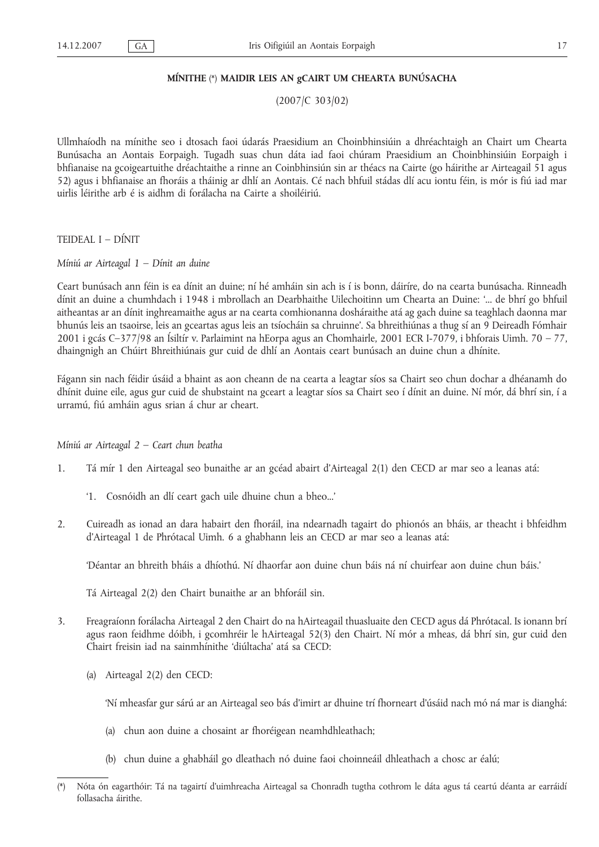#### **MÍNITHE** (\*) **MAIDIR LEIS AN gCAIRT UM CHEARTA BUNÚSACHA**

(2007/C 303/02)

Ullmhaíodh na mínithe seo i dtosach faoi údarás Praesidium an Choinbhinsiúin a dhréachtaigh an Chairt um Chearta Bunúsacha an Aontais Eorpaigh. Tugadh suas chun dáta iad faoi chúram Praesidium an Choinbhinsiúin Eorpaigh i bhfianaise na gcoigeartuithe dréachtaithe a rinne an Coinbhinsiún sin ar théacs na Cairte (go háirithe ar Airteagail 51 agus 52) agus i bhfianaise an fhoráis a tháinig ar dhlí an Aontais. Cé nach bhfuil stádas dlí acu iontu féin, is mór is fiú iad mar uirlis léirithe arb é is aidhm di forálacha na Cairte a shoiléiriú.

TEIDEAL I – DÍNIT

*Míniú ar Airteagal 1 – Dínit an duine*

Ceart bunúsach ann féin is ea dínit an duine; ní hé amháin sin ach is í is bonn, dáiríre, do na cearta bunúsacha. Rinneadh dínit an duine a chumhdach i 1948 i mbrollach an Dearbhaithe Uilechoitinn um Chearta an Duine: '... de bhrí go bhfuil aitheantas ar an dínit inghreamaithe agus ar na cearta comhionanna dosháraithe atá ag gach duine sa teaghlach daonna mar bhunús leis an tsaoirse, leis an gceartas agus leis an tsíocháin sa chruinne'. Sa bhreithiúnas a thug sí an 9 Deireadh Fómhair 2001 i gcás C–377/98 an Ísiltír v. Parlaimint na hEorpa agus an Chomhairle, 2001 ECR I-7079, i bhforais Uimh. 70 – 77, dhaingnigh an Chúirt Bhreithiúnais gur cuid de dhlí an Aontais ceart bunúsach an duine chun a dhínite.

Fágann sin nach féidir úsáid a bhaint as aon cheann de na cearta a leagtar síos sa Chairt seo chun dochar a dhéanamh do dhínit duine eile, agus gur cuid de shubstaint na gceart a leagtar síos sa Chairt seo í dínit an duine. Ní mór, dá bhrí sin, í a urramú, fiú amháin agus srian á chur ar cheart.

*Míniú ar Airteagal 2 – Ceart chun beatha*

- 1. Tá mír 1 den Airteagal seo bunaithe ar an gcéad abairt d'Airteagal 2(1) den CECD ar mar seo a leanas atá:
	- '1. Cosnóidh an dlí ceart gach uile dhuine chun a bheo...'
- 2. Cuireadh as ionad an dara habairt den fhoráil, ina ndearnadh tagairt do phionós an bháis, ar theacht i bhfeidhm d'Airteagal 1 de Phrótacal Uimh. 6 a ghabhann leis an CECD ar mar seo a leanas atá:

'Déantar an bhreith bháis a dhíothú. Ní dhaorfar aon duine chun báis ná ní chuirfear aon duine chun báis.'

Tá Airteagal 2(2) den Chairt bunaithe ar an bhforáil sin.

- 3. Freagraíonn forálacha Airteagal 2 den Chairt do na hAirteagail thuasluaite den CECD agus dá Phrótacal. Is ionann brí agus raon feidhme dóibh, i gcomhréir le hAirteagal 52(3) den Chairt. Ní mór a mheas, dá bhrí sin, gur cuid den Chairt freisin iad na sainmhínithe 'diúltacha' atá sa CECD:
	- (a) Airteagal 2(2) den CECD:

'Ní mheasfar gur sárú ar an Airteagal seo bás d'imirt ar dhuine trí fhorneart d'úsáid nach mó ná mar is dianghá:

- (a) chun aon duine a chosaint ar fhoréigean neamhdhleathach;
- (b) chun duine a ghabháil go dleathach nó duine faoi choinneáil dhleathach a chosc ar éalú;

<sup>(\*)</sup> Nóta ón eagarthóir: Tá na tagairtí d'uimhreacha Airteagal sa Chonradh tugtha cothrom le dáta agus tá ceartú déanta ar earráidí follasacha áirithe.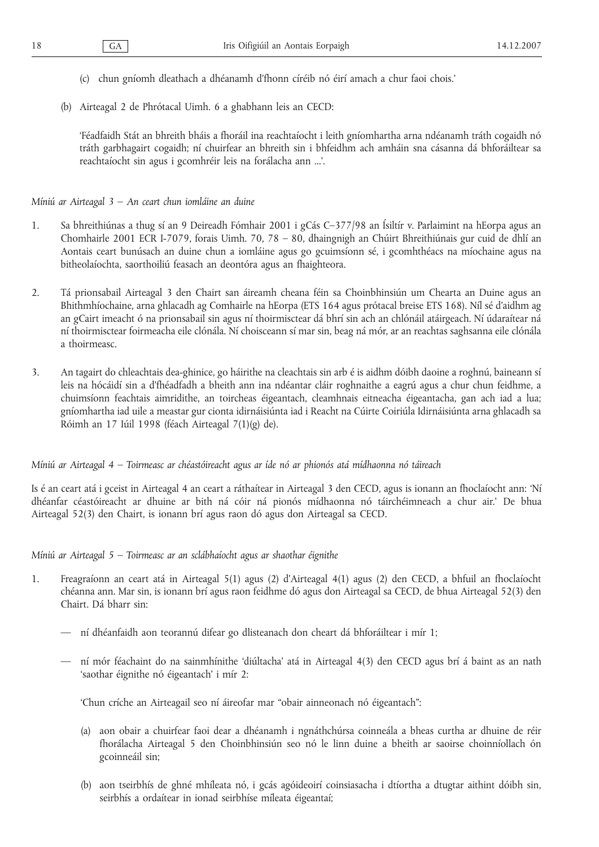- (c) chun gníomh dleathach a dhéanamh d'fhonn círéib nó éirí amach a chur faoi chois.'
- (b) Airteagal 2 de Phrótacal Uimh. 6 a ghabhann leis an CECD:

'Féadfaidh Stát an bhreith bháis a fhoráil ina reachtaíocht i leith gníomhartha arna ndéanamh tráth cogaidh nó tráth garbhagairt cogaidh; ní chuirfear an bhreith sin i bhfeidhm ach amháin sna cásanna dá bhforáiltear sa reachtaíocht sin agus i gcomhréir leis na forálacha ann ...'.

*Míniú ar Airteagal 3 – An ceart chun iomláine an duine*

- 1. Sa bhreithiúnas a thug sí an 9 Deireadh Fómhair 2001 i gCás C–377/98 an Ísiltír v. Parlaimint na hEorpa agus an Chomhairle 2001 ECR I-7079, forais Uimh. 70, 78 – 80, dhaingnigh an Chúirt Bhreithiúnais gur cuid de dhlí an Aontais ceart bunúsach an duine chun a iomláine agus go gcuimsíonn sé, i gcomhthéacs na míochaine agus na bitheolaíochta, saorthoiliú feasach an deontóra agus an fhaighteora.
- 2. Tá prionsabail Airteagal 3 den Chairt san áireamh cheana féin sa Choinbhinsiún um Chearta an Duine agus an Bhithmhíochaine, arna ghlacadh ag Comhairle na hEorpa (ETS 164 agus prótacal breise ETS 168). Níl sé d'aidhm ag an gCairt imeacht ó na prionsabail sin agus ní thoirmisctear dá bhrí sin ach an chlónáil atáirgeach. Ní údaraítear ná ní thoirmisctear foirmeacha eile clónála. Ní choisceann sí mar sin, beag ná mór, ar an reachtas saghsanna eile clónála a thoirmeasc.
- 3. An tagairt do chleachtais dea-ghinice, go háirithe na cleachtais sin arb é is aidhm dóibh daoine a roghnú, baineann sí leis na hócáidí sin a d'fhéadfadh a bheith ann ina ndéantar cláir roghnaithe a eagrú agus a chur chun feidhme, a chuimsíonn feachtais aimridithe, an toircheas éigeantach, cleamhnais eitneacha éigeantacha, gan ach iad a lua; gníomhartha iad uile a meastar gur cionta idirnáisiúnta iad i Reacht na Cúirte Coiriúla Idirnáisiúnta arna ghlacadh sa Róimh an 17 Iúil 1998 (féach Airteagal 7(1)(g) de).

*Míniú ar Airteagal 4 – Toirmeasc ar chéastóireacht agus ar íde nó ar phionós atá mídhaonna nó táireach*

Is é an ceart atá i gceist in Airteagal 4 an ceart a ráthaítear in Airteagal 3 den CECD, agus is ionann an fhoclaíocht ann: 'Ní dhéanfar céastóireacht ar dhuine ar bith ná cóir ná pionós mídhaonna nó táirchéimneach a chur air.' De bhua Airteagal 52(3) den Chairt, is ionann brí agus raon dó agus don Airteagal sa CECD.

*Míniú ar Airteagal 5 – Toirmeasc ar an sclábhaíocht agus ar shaothar éignithe*

- 1. Freagraíonn an ceart atá in Airteagal 5(1) agus (2) d'Airteagal 4(1) agus (2) den CECD, a bhfuil an fhoclaíocht chéanna ann. Mar sin, is ionann brí agus raon feidhme dó agus don Airteagal sa CECD, de bhua Airteagal 52(3) den Chairt. Dá bharr sin:
	- ní dhéanfaidh aon teorannú difear go dlisteanach don cheart dá bhforáiltear i mír 1;
	- ní mór féachaint do na sainmhínithe 'diúltacha' atá in Airteagal 4(3) den CECD agus brí á baint as an nath 'saothar éignithe nó éigeantach' i mír 2:

'Chun críche an Airteagail seo ní áireofar mar "obair ainneonach nó éigeantach":

- (a) aon obair a chuirfear faoi dear a dhéanamh i ngnáthchúrsa coinneála a bheas curtha ar dhuine de réir fhorálacha Airteagal 5 den Choinbhinsiún seo nó le linn duine a bheith ar saoirse choinníollach ón gcoinneáil sin;
- (b) aon tseirbhís de ghné mhíleata nó, i gcás agóideoirí coinsiasacha i dtíortha a dtugtar aithint dóibh sin, seirbhís a ordaítear in ionad seirbhíse míleata éigeantaí;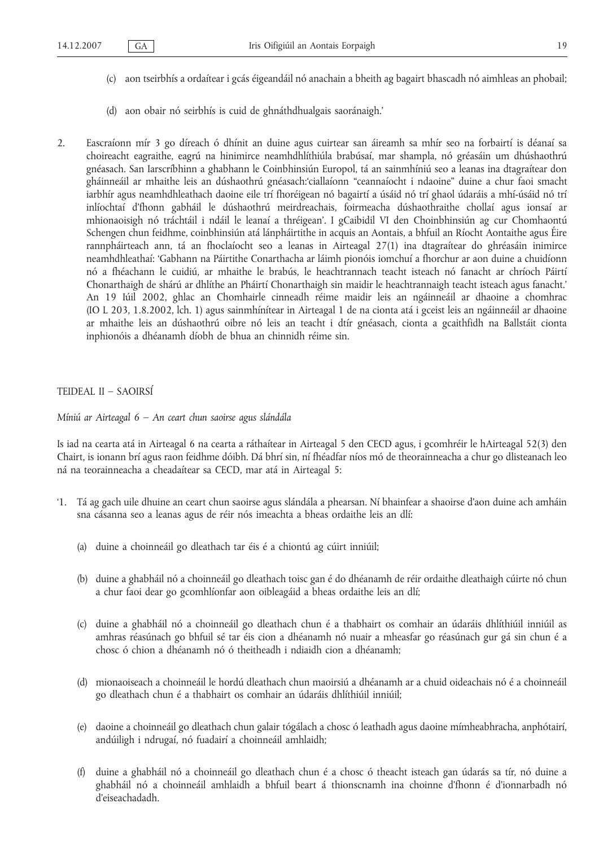- (c) aon tseirbhís a ordaítear i gcás éigeandáil nó anachain a bheith ag bagairt bhascadh nó aimhleas an phobail;
- (d) aon obair nó seirbhís is cuid de ghnáthdhualgais saoránaigh.'
- 2. Eascraíonn mír 3 go díreach ó dhínit an duine agus cuirtear san áireamh sa mhír seo na forbairtí is déanaí sa choireacht eagraithe, eagrú na hinimirce neamhdhlíthiúla brabúsaí, mar shampla, nó gréasáin um dhúshaothrú gnéasach. San Iarscríbhinn a ghabhann le Coinbhinsiún Europol, tá an sainmhíniú seo a leanas ina dtagraítear don gháinneáil ar mhaithe leis an dúshaothrú gnéasach:'ciallaíonn "ceannaíocht i ndaoine" duine a chur faoi smacht iarbhír agus neamhdhleathach daoine eile trí fhoréigean nó bagairtí a úsáid nó trí ghaol údaráis a mhí-úsáid nó trí inlíochtaí d'fhonn gabháil le dúshaothrú meirdreachais, foirmeacha dúshaothraithe chollaí agus ionsaí ar mhionaoisigh nó tráchtáil i ndáil le leanaí a thréigean'. I gCaibidil VI den Choinbhinsiún ag cur Chomhaontú Schengen chun feidhme, coinbhinsiún atá lánpháirtithe in acquis an Aontais, a bhfuil an Ríocht Aontaithe agus Éire rannpháirteach ann, tá an fhoclaíocht seo a leanas in Airteagal 27(1) ina dtagraítear do ghréasáin inimirce neamhdhleathaí: 'Gabhann na Páirtithe Conarthacha ar láimh pionóis iomchuí a fhorchur ar aon duine a chuidíonn nó a fhéachann le cuidiú, ar mhaithe le brabús, le heachtrannach teacht isteach nó fanacht ar chríoch Páirtí Chonarthaigh de shárú ar dhlíthe an Pháirtí Chonarthaigh sin maidir le heachtrannaigh teacht isteach agus fanacht.' An 19 Iúil 2002, ghlac an Chomhairle cinneadh réime maidir leis an ngáinneáil ar dhaoine a chomhrac (IO L 203, 1.8.2002, lch. 1) agus sainmhínítear in Airteagal 1 de na cionta atá i gceist leis an ngáinneáil ar dhaoine ar mhaithe leis an dúshaothrú oibre nó leis an teacht i dtír gnéasach, cionta a gcaithfidh na Ballstáit cionta inphionóis a dhéanamh díobh de bhua an chinnidh réime sin.

#### TEIDEAL II – SAOIRSÍ

#### *Míniú ar Airteagal 6 – An ceart chun saoirse agus slándála*

Is iad na cearta atá in Airteagal 6 na cearta a ráthaítear in Airteagal 5 den CECD agus, i gcomhréir le hAirteagal 52(3) den Chairt, is ionann brí agus raon feidhme dóibh. Dá bhrí sin, ní fhéadfar níos mó de theorainneacha a chur go dlisteanach leo ná na teorainneacha a cheadaítear sa CECD, mar atá in Airteagal 5:

- '1. Tá ag gach uile dhuine an ceart chun saoirse agus slándála a phearsan. Ní bhainfear a shaoirse d'aon duine ach amháin sna cásanna seo a leanas agus de réir nós imeachta a bheas ordaithe leis an dlí:
	- (a) duine a choinneáil go dleathach tar éis é a chiontú ag cúirt inniúil;
	- (b) duine a ghabháil nó a choinneáil go dleathach toisc gan é do dhéanamh de réir ordaithe dleathaigh cúirte nó chun a chur faoi dear go gcomhlíonfar aon oibleagáid a bheas ordaithe leis an dlí;
	- (c) duine a ghabháil nó a choinneáil go dleathach chun é a thabhairt os comhair an údaráis dhlíthiúil inniúil as amhras réasúnach go bhfuil sé tar éis cion a dhéanamh nó nuair a mheasfar go réasúnach gur gá sin chun é a chosc ó chion a dhéanamh nó ó theitheadh i ndiaidh cion a dhéanamh;
	- (d) mionaoiseach a choinneáil le hordú dleathach chun maoirsiú a dhéanamh ar a chuid oideachais nó é a choinneáil go dleathach chun é a thabhairt os comhair an údaráis dhlíthiúil inniúil;
	- (e) daoine a choinneáil go dleathach chun galair tógálach a chosc ó leathadh agus daoine mímheabhracha, anphótairí, andúiligh i ndrugaí, nó fuadairí a choinneáil amhlaidh;
	- (f) duine a ghabháil nó a choinneáil go dleathach chun é a chosc ó theacht isteach gan údarás sa tír, nó duine a ghabháil nó a choinneáil amhlaidh a bhfuil beart á thionscnamh ina choinne d'fhonn é d'ionnarbadh nó d'eiseachadadh.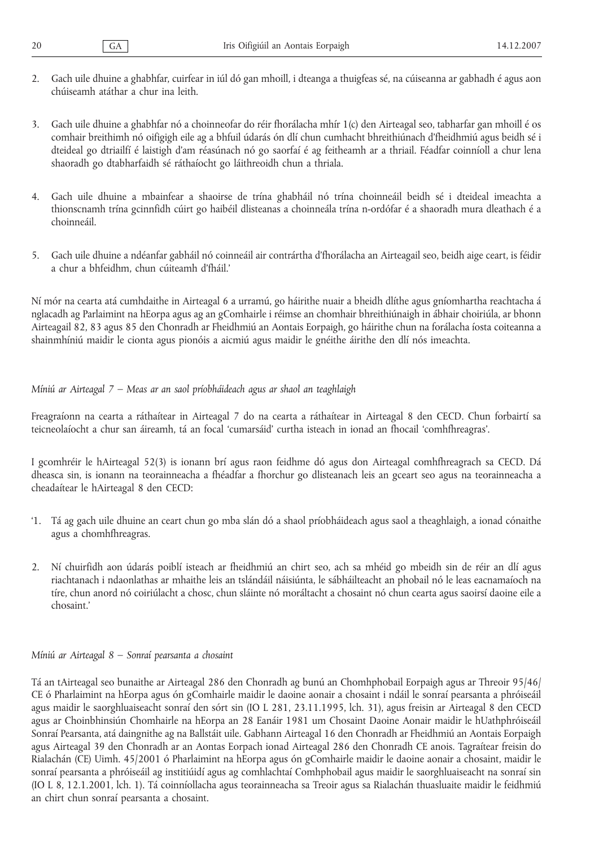- 2. Gach uile dhuine a ghabhfar, cuirfear in iúl dó gan mhoill, i dteanga a thuigfeas sé, na cúiseanna ar gabhadh é agus aon chúiseamh atáthar a chur ina leith.
- 3. Gach uile dhuine a ghabhfar nó a choinneofar do réir fhorálacha mhír 1(c) den Airteagal seo, tabharfar gan mhoill é os comhair breithimh nó oifigigh eile ag a bhfuil údarás ón dlí chun cumhacht bhreithiúnach d'fheidhmiú agus beidh sé i dteideal go dtriailfí é laistigh d'am réasúnach nó go saorfaí é ag feitheamh ar a thriail. Féadfar coinníoll a chur lena shaoradh go dtabharfaidh sé ráthaíocht go láithreoidh chun a thriala.
- 4. Gach uile dhuine a mbainfear a shaoirse de trína ghabháil nó trína choinneáil beidh sé i dteideal imeachta a thionscnamh trína gcinnfidh cúirt go haibéil dlisteanas a choinneála trína n-ordófar é a shaoradh mura dleathach é a choinneáil.
- 5. Gach uile dhuine a ndéanfar gabháil nó coinneáil air contrártha d'fhorálacha an Airteagail seo, beidh aige ceart, is féidir a chur a bhfeidhm, chun cúiteamh d'fháil.'

Ní mór na cearta atá cumhdaithe in Airteagal 6 a urramú, go háirithe nuair a bheidh dlíthe agus gníomhartha reachtacha á nglacadh ag Parlaimint na hEorpa agus ag an gComhairle i réimse an chomhair bhreithiúnaigh in ábhair choiriúla, ar bhonn Airteagail 82, 83 agus 85 den Chonradh ar Fheidhmiú an Aontais Eorpaigh, go háirithe chun na forálacha íosta coiteanna a shainmhíniú maidir le cionta agus pionóis a aicmiú agus maidir le gnéithe áirithe den dlí nós imeachta.

#### *Míniú ar Airteagal 7 – Meas ar an saol príobháideach agus ar shaol an teaghlaigh*

Freagraíonn na cearta a ráthaítear in Airteagal 7 do na cearta a ráthaítear in Airteagal 8 den CECD. Chun forbairtí sa teicneolaíocht a chur san áireamh, tá an focal 'cumarsáid' curtha isteach in ionad an fhocail 'comhfhreagras'.

I gcomhréir le hAirteagal 52(3) is ionann brí agus raon feidhme dó agus don Airteagal comhfhreagrach sa CECD. Dá dheasca sin, is ionann na teorainneacha a fhéadfar a fhorchur go dlisteanach leis an gceart seo agus na teorainneacha a cheadaítear le hAirteagal 8 den CECD:

- '1. Tá ag gach uile dhuine an ceart chun go mba slán dó a shaol príobháideach agus saol a theaghlaigh, a ionad cónaithe agus a chomhfhreagras.
- 2. Ní chuirfidh aon údarás poiblí isteach ar fheidhmiú an chirt seo, ach sa mhéid go mbeidh sin de réir an dlí agus riachtanach i ndaonlathas ar mhaithe leis an tslándáil náisiúnta, le sábháilteacht an phobail nó le leas eacnamaíoch na tíre, chun anord nó coiriúlacht a chosc, chun sláinte nó moráltacht a chosaint nó chun cearta agus saoirsí daoine eile a chosaint.'

#### *Míniú ar Airteagal 8 – Sonraí pearsanta a chosaint*

Tá an tAirteagal seo bunaithe ar Airteagal 286 den Chonradh ag bunú an Chomhphobail Eorpaigh agus ar Threoir 95/46/ CE ó Pharlaimint na hEorpa agus ón gComhairle maidir le daoine aonair a chosaint i ndáil le sonraí pearsanta a phróiseáil agus maidir le saorghluaiseacht sonraí den sórt sin (IO L 281, 23.11.1995, lch. 31), agus freisin ar Airteagal 8 den CECD agus ar Choinbhinsiún Chomhairle na hEorpa an 28 Eanáir 1981 um Chosaint Daoine Aonair maidir le hUathphróiseáil Sonraí Pearsanta, atá daingnithe ag na Ballstáit uile. Gabhann Airteagal 16 den Chonradh ar Fheidhmiú an Aontais Eorpaigh agus Airteagal 39 den Chonradh ar an Aontas Eorpach ionad Airteagal 286 den Chonradh CE anois. Tagraítear freisin do Rialachán (CE) Uimh. 45/2001 ó Pharlaimint na hEorpa agus ón gComhairle maidir le daoine aonair a chosaint, maidir le sonraí pearsanta a phróiseáil ag institiúidí agus ag comhlachtaí Comhphobail agus maidir le saorghluaiseacht na sonraí sin (IO L 8, 12.1.2001, lch. 1). Tá coinníollacha agus teorainneacha sa Treoir agus sa Rialachán thuasluaite maidir le feidhmiú an chirt chun sonraí pearsanta a chosaint.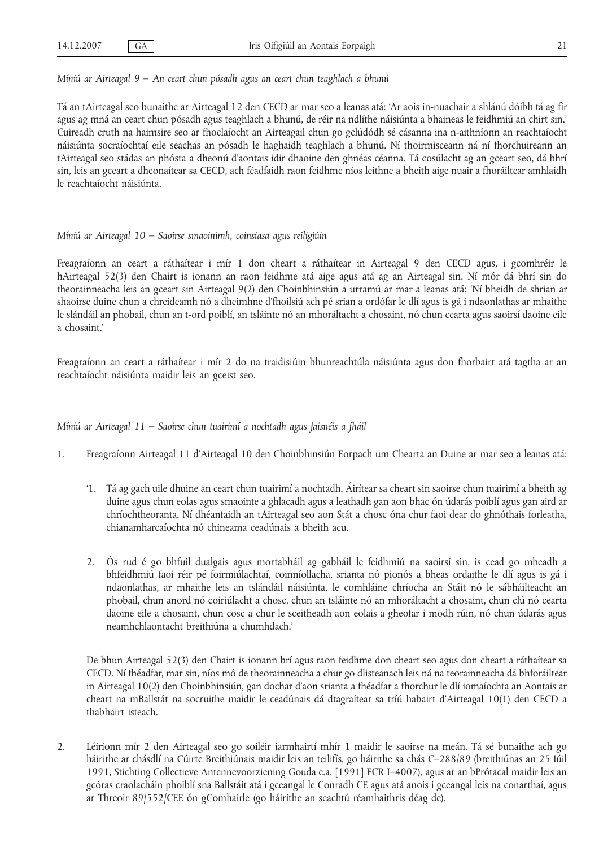Tá an tAirteagal seo bunaithe ar Airteagal 12 den CECD ar mar seo a leanas atá: 'Ar aois in-nuachair a shlánú dóibh tá ag fir agus ag mná an ceart chun pósadh agus teaghlach a bhunú, de réir na ndlíthe náisiúnta a bhaineas le feidhmiú an chirt sin.' Cuireadh cruth na haimsire seo ar fhoclaíocht an Airteagail chun go gclúdódh sé cásanna ina n-aithníonn an reachtaíocht náisiúnta socraíochtaí eile seachas an pósadh le haghaidh teaghlach a bhunú. Ní thoirmisceann ná ní fhorchuireann an tAirteagal seo stádas an phósta a dheonú d'aontais idir dhaoine den ghnéas céanna. Tá cosúlacht ag an gceart seo, dá bhrí sin, leis an gceart a dheonaítear sa CECD, ach féadfaidh raon feidhme níos leithne a bheith aige nuair a fhoráiltear amhlaidh le reachtaíocht náisiúnta.

#### *Míniú ar Airteagal 10 – Saoirse smaoinimh, coinsiasa agus reiligiúin*

Freagraíonn an ceart a ráthaítear i mír 1 don cheart a ráthaítear in Airteagal 9 den CECD agus, i gcomhréir le hAirteagal 52(3) den Chairt is ionann an raon feidhme atá aige agus atá ag an Airteagal sin. Ní mór dá bhrí sin do theorainneacha leis an gceart sin Airteagal 9(2) den Choinbhinsiún a urramú ar mar a leanas atá: 'Ní bheidh de shrian ar shaoirse duine chun a chreideamh nó a dheimhne d'fhoilsiú ach pé srian a ordófar le dlí agus is gá i ndaonlathas ar mhaithe le slándáil an phobail, chun an t-ord poiblí, an tsláinte nó an mhoráltacht a chosaint, nó chun cearta agus saoirsí daoine eile a chosaint.'

Freagraíonn an ceart a ráthaítear i mír 2 do na traidisiúin bhunreachtúla náisiúnta agus don fhorbairt atá tagtha ar an reachtaíocht náisiúnta maidir leis an gceist seo.

#### *Míniú ar Airteagal 11 – Saoirse chun tuairimí a nochtadh agus faisnéis a fháil*

- 1. Freagraíonn Airteagal 11 d'Airteagal 10 den Choinbhinsiún Eorpach um Chearta an Duine ar mar seo a leanas atá:
	- '1. Tá ag gach uile dhuine an ceart chun tuairimí a nochtadh. Áirítear sa cheart sin saoirse chun tuairimí a bheith ag duine agus chun eolas agus smaointe a ghlacadh agus a leathadh gan aon bhac ón údarás poiblí agus gan aird ar chríochtheoranta. Ní dhéanfaidh an tAirteagal seo aon Stát a chosc óna chur faoi dear do ghnóthais forleatha, chianamharcaíochta nó chineama ceadúnais a bheith acu.
	- 2. Ós rud é go bhfuil dualgais agus mortabháil ag gabháil le feidhmiú na saoirsí sin, is cead go mbeadh a bhfeidhmiú faoi réir pé foirmiúlachtaí, coinníollacha, srianta nó pionós a bheas ordaithe le dlí agus is gá i ndaonlathas, ar mhaithe leis an tslándáil náisiúnta, le comhláine chríocha an Stáit nó le sábháilteacht an phobail, chun anord nó coiriúlacht a chosc, chun an tsláinte nó an mhoráltacht a chosaint, chun clú nó cearta daoine eile a chosaint, chun cosc a chur le sceitheadh aon eolais a gheofar i modh rúin, nó chun údarás agus neamhchlaontacht breithiúna a chumhdach.'

De bhun Airteagal 52(3) den Chairt is ionann brí agus raon feidhme don cheart seo agus don cheart a ráthaítear sa CECD. Ní fhéadfar, mar sin, níos mó de theorainneacha a chur go dlisteanach leis ná na teorainneacha dá bhforáiltear in Airteagal 10(2) den Choinbhinsiún, gan dochar d'aon srianta a fhéadfar a fhorchur le dlí iomaíochta an Aontais ar cheart na mBallstát na socruithe maidir le ceadúnais dá dtagraítear sa tríú habairt d'Airteagal 10(1) den CECD a thabhairt isteach.

2. Léiríonn mír 2 den Airteagal seo go soiléir iarmhairtí mhír 1 maidir le saoirse na meán. Tá sé bunaithe ach go háirithe ar chásdlí na Cúirte Breithiúnais maidir leis an teilifís, go háirithe sa chás C–288/89 (breithiúnas an 25 Iúil 1991, Stichting Collectieve Antennevoorziening Gouda e.a. [1991] ECR I–4007), agus ar an bPrótacal maidir leis an gcóras craolacháin phoiblí sna Ballstáit atá i gceangal le Conradh CE agus atá anois i gceangal leis na conarthaí, agus ar Threoir 89/552/CEE ón gComhairle (go háirithe an seachtú réamhaithris déag de).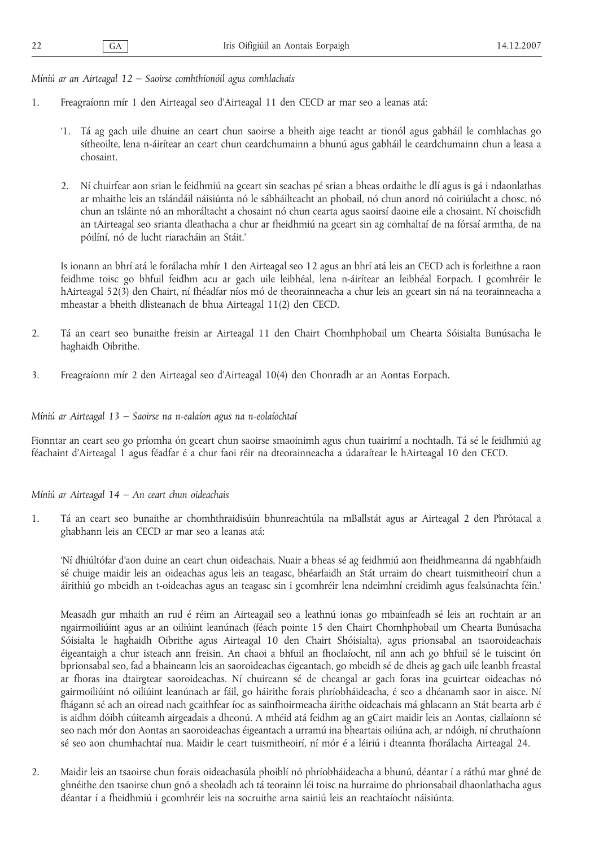*Míniú ar an Airteagal 12 – Saoirse comhthionóil agus comhlachais*

- 1. Freagraíonn mír 1 den Airteagal seo d'Airteagal 11 den CECD ar mar seo a leanas atá:
	- '1. Tá ag gach uile dhuine an ceart chun saoirse a bheith aige teacht ar tionól agus gabháil le comhlachas go sítheoilte, lena n-áirítear an ceart chun ceardchumainn a bhunú agus gabháil le ceardchumainn chun a leasa a chosaint.
	- 2. Ní chuirfear aon srian le feidhmiú na gceart sin seachas pé srian a bheas ordaithe le dlí agus is gá i ndaonlathas ar mhaithe leis an tslándáil náisiúnta nó le sábháilteacht an phobail, nó chun anord nó coiriúlacht a chosc, nó chun an tsláinte nó an mhoráltacht a chosaint nó chun cearta agus saoirsí daoine eile a chosaint. Ní choiscfidh an tAirteagal seo srianta dleathacha a chur ar fheidhmiú na gceart sin ag comhaltaí de na fórsaí armtha, de na póilíní, nó de lucht riaracháin an Stáit.'

Is ionann an bhrí atá le forálacha mhír 1 den Airteagal seo 12 agus an bhrí atá leis an CECD ach is forleithne a raon feidhme toisc go bhfuil feidhm acu ar gach uile leibhéal, lena n-áirítear an leibhéal Eorpach. I gcomhréir le hAirteagal 52(3) den Chairt, ní fhéadfar níos mó de theorainneacha a chur leis an gceart sin ná na teorainneacha a mheastar a bheith dlisteanach de bhua Airteagal 11(2) den CECD.

- 2. Tá an ceart seo bunaithe freisin ar Airteagal 11 den Chairt Chomhphobail um Chearta Sóisialta Bunúsacha le haghaidh Oibrithe.
- 3. Freagraíonn mír 2 den Airteagal seo d'Airteagal 10(4) den Chonradh ar an Aontas Eorpach.

#### *Míniú ar Airteagal 13 – Saoirse na n-ealaíon agus na n-eolaíochtaí*

Fionntar an ceart seo go príomha ón gceart chun saoirse smaoinimh agus chun tuairimí a nochtadh. Tá sé le feidhmiú ag féachaint d'Airteagal 1 agus féadfar é a chur faoi réir na dteorainneacha a údaraítear le hAirteagal 10 den CECD.

#### *Míniú ar Airteagal 14 – An ceart chun oideachais*

1. Tá an ceart seo bunaithe ar chomhthraidisúin bhunreachtúla na mBallstát agus ar Airteagal 2 den Phrótacal a ghabhann leis an CECD ar mar seo a leanas atá:

'Ní dhiúltófar d'aon duine an ceart chun oideachais. Nuair a bheas sé ag feidhmiú aon fheidhmeanna dá ngabhfaidh sé chuige maidir leis an oideachas agus leis an teagasc, bhéarfaidh an Stát urraim do cheart tuismitheoirí chun a áirithiú go mbeidh an t-oideachas agus an teagasc sin i gcomhréir lena ndeimhní creidimh agus fealsúnachta féin.'

Measadh gur mhaith an rud é réim an Airteagail seo a leathnú ionas go mbainfeadh sé leis an rochtain ar an ngairmoiliúint agus ar an oiliúint leanúnach (féach pointe 15 den Chairt Chomhphobail um Chearta Bunúsacha Sóisialta le haghaidh Oibrithe agus Airteagal 10 den Chairt Shóisialta), agus prionsabal an tsaoroideachais éigeantaigh a chur isteach ann freisin. An chaoi a bhfuil an fhoclaíocht, níl ann ach go bhfuil sé le tuiscint ón bprionsabal seo, fad a bhaineann leis an saoroideachas éigeantach, go mbeidh sé de dheis ag gach uile leanbh freastal ar fhoras ina dtairgtear saoroideachas. Ní chuireann sé de cheangal ar gach foras ina gcuirtear oideachas nó gairmoiliúint nó oiliúint leanúnach ar fáil, go háirithe forais phríobháideacha, é seo a dhéanamh saor in aisce. Ní fhágann sé ach an oiread nach gcaithfear íoc as sainfhoirmeacha áirithe oideachais má ghlacann an Stát bearta arb é is aidhm dóibh cúiteamh airgeadais a dheonú. A mhéid atá feidhm ag an gCairt maidir leis an Aontas, ciallaíonn sé seo nach mór don Aontas an saoroideachas éigeantach a urramú ina bheartais oiliúna ach, ar ndóigh, ní chruthaíonn sé seo aon chumhachtaí nua. Maidir le ceart tuismitheoirí, ní mór é a léiriú i dteannta fhorálacha Airteagal 24.

2. Maidir leis an tsaoirse chun forais oideachasúla phoiblí nó phríobháideacha a bhunú, déantar í a ráthú mar ghné de ghnéithe den tsaoirse chun gnó a sheoladh ach tá teorainn léi toisc na hurraime do phrionsabail dhaonlathacha agus déantar í a fheidhmiú i gcomhréir leis na socruithe arna sainiú leis an reachtaíocht náisiúnta.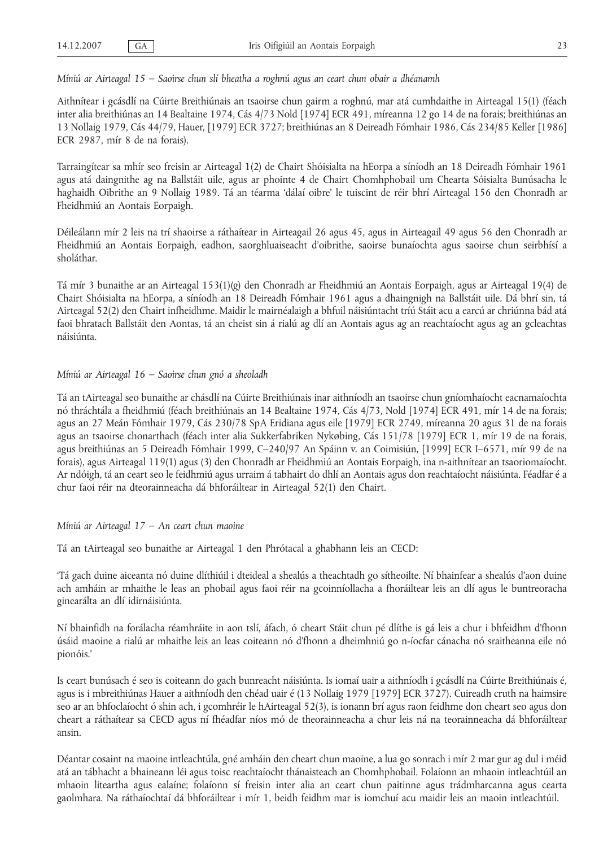*Míniú ar Airteagal 15 – Saoirse chun slí bheatha a roghnú agus an ceart chun obair a dhéanamh*

Aithnítear i gcásdlí na Cúirte Breithiúnais an tsaoirse chun gairm a roghnú, mar atá cumhdaithe in Airteagal 15(1) (féach inter alia breithiúnas an 14 Bealtaine 1974, Cás 4/73 Nold [1974] ECR 491, míreanna 12 go 14 de na forais; breithiúnas an 13 Nollaig 1979, Cás 44/79, Hauer, [1979] ECR 3727; breithiúnas an 8 Deireadh Fómhair 1986, Cás 234/85 Keller [1986] ECR 2987, mír 8 de na forais).

Tarraingítear sa mhír seo freisin ar Airteagal 1(2) de Chairt Shóisialta na hEorpa a síníodh an 18 Deireadh Fómhair 1961 agus atá daingnithe ag na Ballstáit uile, agus ar phointe 4 de Chairt Chomhphobail um Chearta Sóisialta Bunúsacha le haghaidh Oibrithe an 9 Nollaig 1989. Tá an téarma 'dálaí oibre' le tuiscint de réir bhrí Airteagal 156 den Chonradh ar Fheidhmiú an Aontais Eorpaigh.

Déileálann mír 2 leis na trí shaoirse a ráthaítear in Airteagail 26 agus 45, agus in Airteagail 49 agus 56 den Chonradh ar Fheidhmiú an Aontais Eorpaigh, eadhon, saorghluaiseacht d'oibrithe, saoirse bunaíochta agus saoirse chun seirbhísí a sholáthar.

Tá mír 3 bunaithe ar an Airteagal 153(1)(g) den Chonradh ar Fheidhmiú an Aontais Eorpaigh, agus ar Airteagal 19(4) de Chairt Shóisialta na hEorpa, a síníodh an 18 Deireadh Fómhair 1961 agus a dhaingnigh na Ballstáit uile. Dá bhrí sin, tá Airteagal 52(2) den Chairt infheidhme. Maidir le mairnéalaigh a bhfuil náisiúntacht tríú Stáit acu a earcú ar chriúnna bád atá faoi bhratach Ballstáit den Aontas, tá an cheist sin á rialú ag dlí an Aontais agus ag an reachtaíocht agus ag an gcleachtas náisiúnta.

#### *Míniú ar Airteagal 16 – Saoirse chun gnó a sheoladh*

Tá an tAirteagal seo bunaithe ar chásdlí na Cúirte Breithiúnais inar aithníodh an tsaoirse chun gníomhaíocht eacnamaíochta nó thráchtála a fheidhmiú (féach breithiúnais an 14 Bealtaine 1974, Cás 4/73, Nold [1974] ECR 491, mír 14 de na forais; agus an 27 Meán Fómhair 1979, Cás 230/78 SpA Eridiana agus eile [1979] ECR 2749, míreanna 20 agus 31 de na forais agus an tsaoirse chonarthach (féach inter alia Sukkerfabriken Nykøbing, Cás 151/78 [1979] ECR 1, mír 19 de na forais, agus breithiúnas an 5 Deireadh Fómhair 1999, C–240/97 An Spáinn v. an Coimisiún, [1999] ECR I–6571, mír 99 de na forais), agus Airteagal 119(1) agus (3) den Chonradh ar Fheidhmiú an Aontais Eorpaigh, ina n-aithnítear an tsaoriomaíocht. Ar ndóigh, tá an ceart seo le feidhmiú agus urraim á tabhairt do dhlí an Aontais agus don reachtaíocht náisiúnta. Féadfar é a chur faoi réir na dteorainneacha dá bhforáiltear in Airteagal 52(1) den Chairt.

*Míniú ar Airteagal 17 – An ceart chun maoine*

Tá an tAirteagal seo bunaithe ar Airteagal 1 den Phrótacal a ghabhann leis an CECD:

'Tá gach duine aiceanta nó duine dlíthiúil i dteideal a shealús a theachtadh go sítheoilte. Ní bhainfear a shealús d'aon duine ach amháin ar mhaithe le leas an phobail agus faoi réir na gcoinníollacha a fhoráiltear leis an dlí agus le buntreoracha ginearálta an dlí idirnáisiúnta.

Ní bhainfidh na forálacha réamhráite in aon tslí, áfach, ó cheart Stáit chun pé dlíthe is gá leis a chur i bhfeidhm d'fhonn úsáid maoine a rialú ar mhaithe leis an leas coiteann nó d'fhonn a dheimhniú go n-íocfar cánacha nó sraitheanna eile nó pionóis.'

Is ceart bunúsach é seo is coiteann do gach bunreacht náisiúnta. Is iomaí uair a aithníodh i gcásdlí na Cúirte Breithiúnais é, agus is i mbreithiúnas Hauer a aithníodh den chéad uair é (13 Nollaig 1979 [1979] ECR 3727). Cuireadh cruth na haimsire seo ar an bhfoclaíocht ó shin ach, i gcomhréir le hAirteagal 52(3), is ionann brí agus raon feidhme don cheart seo agus don cheart a ráthaítear sa CECD agus ní fhéadfar níos mó de theorainneacha a chur leis ná na teorainneacha dá bhforáiltear ansin.

Déantar cosaint na maoine intleachtúla, gné amháin den cheart chun maoine, a lua go sonrach i mír 2 mar gur ag dul i méid atá an tábhacht a bhaineann léi agus toisc reachtaíocht thánaisteach an Chomhphobail. Folaíonn an mhaoin intleachtúil an mhaoin liteartha agus ealaíne; folaíonn sí freisin inter alia an ceart chun paitinne agus trádmharcanna agus cearta gaolmhara. Na ráthaíochtaí dá bhforáiltear i mír 1, beidh feidhm mar is iomchuí acu maidir leis an maoin intleachtúil.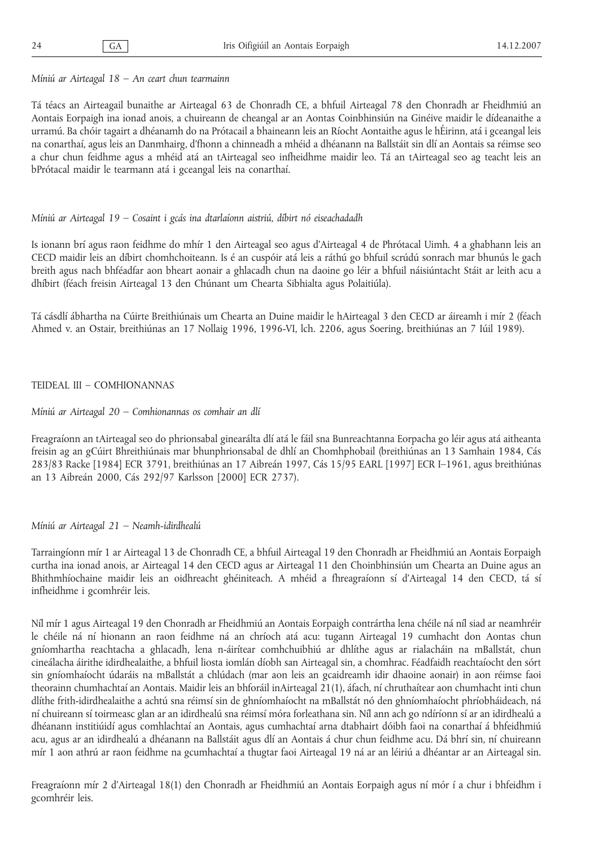#### *Míniú ar Airteagal 18 – An ceart chun tearmainn*

Tá téacs an Airteagail bunaithe ar Airteagal 63 de Chonradh CE, a bhfuil Airteagal 78 den Chonradh ar Fheidhmiú an Aontais Eorpaigh ina ionad anois, a chuireann de cheangal ar an Aontas Coinbhinsiún na Ginéive maidir le dídeanaithe a urramú. Ba chóir tagairt a dhéanamh do na Prótacail a bhaineann leis an Ríocht Aontaithe agus le hÉirinn, atá i gceangal leis na conarthaí, agus leis an Danmhairg, d'fhonn a chinneadh a mhéid a dhéanann na Ballstáit sin dlí an Aontais sa réimse seo a chur chun feidhme agus a mhéid atá an tAirteagal seo infheidhme maidir leo. Tá an tAirteagal seo ag teacht leis an bPrótacal maidir le tearmann atá i gceangal leis na conarthaí.

#### *Míniú ar Airteagal 19 – Cosaint i gcás ina dtarlaíonn aistriú, díbirt nó eiseachadadh*

Is ionann brí agus raon feidhme do mhír 1 den Airteagal seo agus d'Airteagal 4 de Phrótacal Uimh. 4 a ghabhann leis an CECD maidir leis an díbirt chomhchoiteann. Is é an cuspóir atá leis a ráthú go bhfuil scrúdú sonrach mar bhunús le gach breith agus nach bhféadfar aon bheart aonair a ghlacadh chun na daoine go léir a bhfuil náisiúntacht Stáit ar leith acu a dhíbirt (féach freisin Airteagal 13 den Chúnant um Chearta Sibhialta agus Polaitiúla).

Tá cásdlí ábhartha na Cúirte Breithiúnais um Chearta an Duine maidir le hAirteagal 3 den CECD ar áireamh i mír 2 (féach Ahmed v. an Ostair, breithiúnas an 17 Nollaig 1996, 1996-VI, lch. 2206, agus Soering, breithiúnas an 7 Iúil 1989).

#### TEIDEAL III – COMHIONANNAS

#### *Míniú ar Airteagal 20 – Comhionannas os comhair an dlí*

Freagraíonn an tAirteagal seo do phrionsabal ginearálta dlí atá le fáil sna Bunreachtanna Eorpacha go léir agus atá aitheanta freisin ag an gCúirt Bhreithiúnais mar bhunphrionsabal de dhlí an Chomhphobail (breithiúnas an 13 Samhain 1984, Cás 283/83 Racke [1984] ECR 3791, breithiúnas an 17 Aibreán 1997, Cás 15/95 EARL [1997] ECR I–1961, agus breithiúnas an 13 Aibreán 2000, Cás 292/97 Karlsson [2000] ECR 2737).

#### *Míniú ar Airteagal 21 – Neamh-idirdhealú*

Tarraingíonn mír 1 ar Airteagal 13 de Chonradh CE, a bhfuil Airteagal 19 den Chonradh ar Fheidhmiú an Aontais Eorpaigh curtha ina ionad anois, ar Airteagal 14 den CECD agus ar Airteagal 11 den Choinbhinsiún um Chearta an Duine agus an Bhithmhíochaine maidir leis an oidhreacht ghéiniteach. A mhéid a fhreagraíonn sí d'Airteagal 14 den CECD, tá sí infheidhme i gcomhréir leis.

Níl mír 1 agus Airteagal 19 den Chonradh ar Fheidhmiú an Aontais Eorpaigh contrártha lena chéile ná níl siad ar neamhréir le chéile ná ní hionann an raon feidhme ná an chríoch atá acu: tugann Airteagal 19 cumhacht don Aontas chun gníomhartha reachtacha a ghlacadh, lena n-áirítear comhchuibhiú ar dhlíthe agus ar rialacháin na mBallstát, chun cineálacha áirithe idirdhealaithe, a bhfuil liosta iomlán díobh san Airteagal sin, a chomhrac. Féadfaidh reachtaíocht den sórt sin gníomhaíocht údaráis na mBallstát a chlúdach (mar aon leis an gcaidreamh idir dhaoine aonair) in aon réimse faoi theorainn chumhachtaí an Aontais. Maidir leis an bhforáil inAirteagal 21(1), áfach, ní chruthaítear aon chumhacht inti chun dlíthe frith-idirdhealaithe a achtú sna réimsí sin de ghníomhaíocht na mBallstát nó den ghníomhaíocht phríobháideach, ná ní chuireann sí toirmeasc glan ar an idirdhealú sna réimsí móra forleathana sin. Níl ann ach go ndíríonn sí ar an idirdhealú a dhéanann institiúidí agus comhlachtaí an Aontais, agus cumhachtaí arna dtabhairt dóibh faoi na conarthaí á bhfeidhmiú acu, agus ar an idirdhealú a dhéanann na Ballstáit agus dlí an Aontais á chur chun feidhme acu. Dá bhrí sin, ní chuireann mír 1 aon athrú ar raon feidhme na gcumhachtaí a thugtar faoi Airteagal 19 ná ar an léiriú a dhéantar ar an Airteagal sin.

Freagraíonn mír 2 d'Airteagal 18(1) den Chonradh ar Fheidhmiú an Aontais Eorpaigh agus ní mór í a chur i bhfeidhm i gcomhréir leis.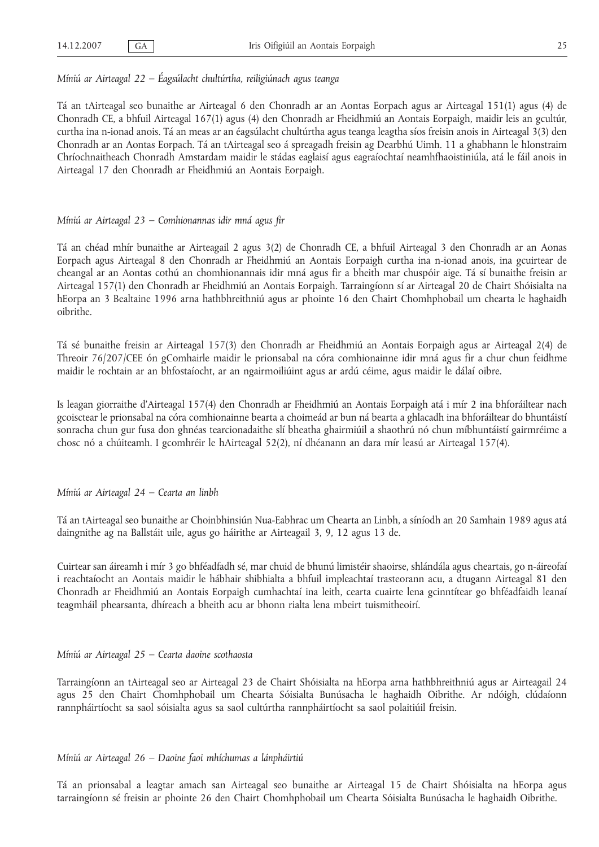#### *Míniú ar Airteagal 22 – Éagsúlacht chultúrtha, reiligiúnach agus teanga*

Tá an tAirteagal seo bunaithe ar Airteagal 6 den Chonradh ar an Aontas Eorpach agus ar Airteagal 151(1) agus (4) de Chonradh CE, a bhfuil Airteagal 167(1) agus (4) den Chonradh ar Fheidhmiú an Aontais Eorpaigh, maidir leis an gcultúr, curtha ina n-ionad anois. Tá an meas ar an éagsúlacht chultúrtha agus teanga leagtha síos freisin anois in Airteagal 3(3) den Chonradh ar an Aontas Eorpach. Tá an tAirteagal seo á spreagadh freisin ag Dearbhú Uimh. 11 a ghabhann le hIonstraim Chríochnaitheach Chonradh Amstardam maidir le stádas eaglaisí agus eagraíochtaí neamhfhaoistiniúla, atá le fáil anois in Airteagal 17 den Chonradh ar Fheidhmiú an Aontais Eorpaigh.

#### *Míniú ar Airteagal 23 – Comhionannas idir mná agus fir*

Tá an chéad mhír bunaithe ar Airteagail 2 agus 3(2) de Chonradh CE, a bhfuil Airteagal 3 den Chonradh ar an Aonas Eorpach agus Airteagal 8 den Chonradh ar Fheidhmiú an Aontais Eorpaigh curtha ina n-ionad anois, ina gcuirtear de cheangal ar an Aontas cothú an chomhionannais idir mná agus fir a bheith mar chuspóir aige. Tá sí bunaithe freisin ar Airteagal 157(1) den Chonradh ar Fheidhmiú an Aontais Eorpaigh. Tarraingíonn sí ar Airteagal 20 de Chairt Shóisialta na hEorpa an 3 Bealtaine 1996 arna hathbhreithniú agus ar phointe 16 den Chairt Chomhphobail um chearta le haghaidh oibrithe.

Tá sé bunaithe freisin ar Airteagal 157(3) den Chonradh ar Fheidhmiú an Aontais Eorpaigh agus ar Airteagal 2(4) de Threoir 76/207/CEE ón gComhairle maidir le prionsabal na córa comhionainne idir mná agus fir a chur chun feidhme maidir le rochtain ar an bhfostaíocht, ar an ngairmoiliúint agus ar ardú céime, agus maidir le dálaí oibre.

Is leagan giorraithe d'Airteagal 157(4) den Chonradh ar Fheidhmiú an Aontais Eorpaigh atá i mír 2 ina bhforáiltear nach gcoisctear le prionsabal na córa comhionainne bearta a choimeád ar bun ná bearta a ghlacadh ina bhforáiltear do bhuntáistí sonracha chun gur fusa don ghnéas tearcionadaithe slí bheatha ghairmiúil a shaothrú nó chun míbhuntáistí gairmréime a chosc nó a chúiteamh. I gcomhréir le hAirteagal 52(2), ní dhéanann an dara mír leasú ar Airteagal 157(4).

*Míniú ar Airteagal 24 – Cearta an linbh*

Tá an tAirteagal seo bunaithe ar Choinbhinsiún Nua-Eabhrac um Chearta an Linbh, a síníodh an 20 Samhain 1989 agus atá daingnithe ag na Ballstáit uile, agus go háirithe ar Airteagail 3, 9, 12 agus 13 de.

Cuirtear san áireamh i mír 3 go bhféadfadh sé, mar chuid de bhunú limistéir shaoirse, shlándála agus cheartais, go n-áireofaí i reachtaíocht an Aontais maidir le hábhair shibhialta a bhfuil impleachtaí trasteorann acu, a dtugann Airteagal 81 den Chonradh ar Fheidhmiú an Aontais Eorpaigh cumhachtaí ina leith, cearta cuairte lena gcinntítear go bhféadfaidh leanaí teagmháil phearsanta, dhíreach a bheith acu ar bhonn rialta lena mbeirt tuismitheoirí.

#### *Míniú ar Airteagal 25 – Cearta daoine scothaosta*

Tarraingíonn an tAirteagal seo ar Airteagal 23 de Chairt Shóisialta na hEorpa arna hathbhreithniú agus ar Airteagail 24 agus 25 den Chairt Chomhphobail um Chearta Sóisialta Bunúsacha le haghaidh Oibrithe. Ar ndóigh, clúdaíonn rannpháirtíocht sa saol sóisialta agus sa saol cultúrtha rannpháirtíocht sa saol polaitiúil freisin.

*Míniú ar Airteagal 26 – Daoine faoi mhíchumas a lánpháirtiú*

Tá an prionsabal a leagtar amach san Airteagal seo bunaithe ar Airteagal 15 de Chairt Shóisialta na hEorpa agus tarraingíonn sé freisin ar phointe 26 den Chairt Chomhphobail um Chearta Sóisialta Bunúsacha le haghaidh Oibrithe.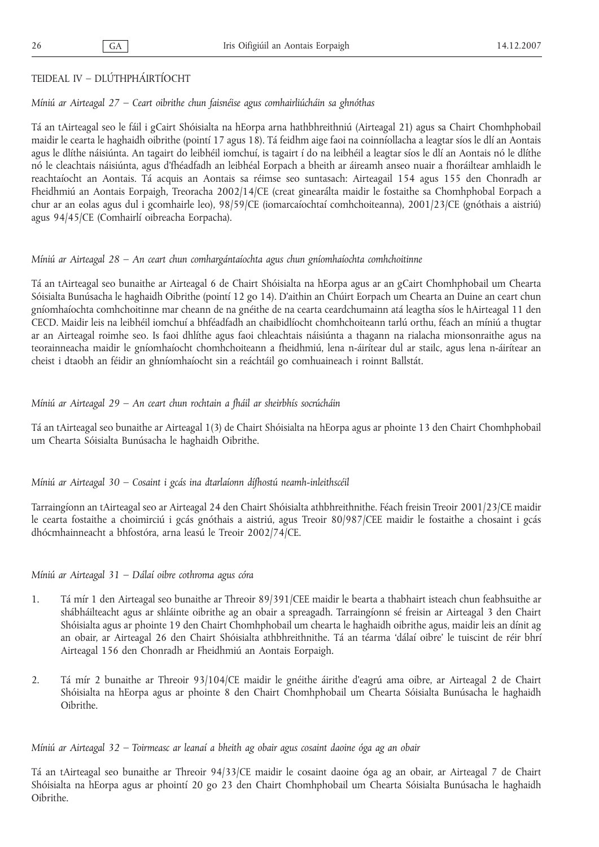## TEIDEAL IV – DLÚTHPHÁIRTÍOCHT

#### *Míniú ar Airteagal 27 – Ceart oibrithe chun faisnéise agus comhairliúcháin sa ghnóthas*

Tá an tAirteagal seo le fáil i gCairt Shóisialta na hEorpa arna hathbhreithniú (Airteagal 21) agus sa Chairt Chomhphobail maidir le cearta le haghaidh oibrithe (pointí 17 agus 18). Tá feidhm aige faoi na coinníollacha a leagtar síos le dlí an Aontais agus le dlíthe náisiúnta. An tagairt do leibhéil iomchuí, is tagairt í do na leibhéil a leagtar síos le dlí an Aontais nó le dlíthe nó le cleachtais náisiúnta, agus d'fhéadfadh an leibhéal Eorpach a bheith ar áireamh anseo nuair a fhoráiltear amhlaidh le reachtaíocht an Aontais. Tá acquis an Aontais sa réimse seo suntasach: Airteagail 154 agus 155 den Chonradh ar Fheidhmiú an Aontais Eorpaigh, Treoracha 2002/14/CE (creat ginearálta maidir le fostaithe sa Chomhphobal Eorpach a chur ar an eolas agus dul i gcomhairle leo), 98/59/CE (iomarcaíochtaí comhchoiteanna), 2001/23/CE (gnóthais a aistriú) agus 94/45/CE (Comhairlí oibreacha Eorpacha).

#### *Míniú ar Airteagal 28 – An ceart chun comhargántaíochta agus chun gníomhaíochta comhchoitinne*

Tá an tAirteagal seo bunaithe ar Airteagal 6 de Chairt Shóisialta na hEorpa agus ar an gCairt Chomhphobail um Chearta Sóisialta Bunúsacha le haghaidh Oibrithe (pointí 12 go 14). D'aithin an Chúirt Eorpach um Chearta an Duine an ceart chun gníomhaíochta comhchoitinne mar cheann de na gnéithe de na cearta ceardchumainn atá leagtha síos le hAirteagal 11 den CECD. Maidir leis na leibhéil iomchuí a bhféadfadh an chaibidlíocht chomhchoiteann tarlú orthu, féach an míniú a thugtar ar an Airteagal roimhe seo. Is faoi dhlíthe agus faoi chleachtais náisiúnta a thagann na rialacha mionsonraithe agus na teorainneacha maidir le gníomhaíocht chomhchoiteann a fheidhmiú, lena n-áirítear dul ar stailc, agus lena n-áirítear an cheist i dtaobh an féidir an ghníomhaíocht sin a reáchtáil go comhuaineach i roinnt Ballstát.

## *Míniú ar Airteagal 29 – An ceart chun rochtain a fháil ar sheirbhís socrúcháin*

Tá an tAirteagal seo bunaithe ar Airteagal 1(3) de Chairt Shóisialta na hEorpa agus ar phointe 13 den Chairt Chomhphobail um Chearta Sóisialta Bunúsacha le haghaidh Oibrithe.

*Míniú ar Airteagal 30 – Cosaint i gcás ina dtarlaíonn dífhostú neamh-inleithscéil*

Tarraingíonn an tAirteagal seo ar Airteagal 24 den Chairt Shóisialta athbhreithnithe. Féach freisin Treoir 2001/23/CE maidir le cearta fostaithe a choimirciú i gcás gnóthais a aistriú, agus Treoir 80/987/CEE maidir le fostaithe a chosaint i gcás dhócmhainneacht a bhfostóra, arna leasú le Treoir 2002/74/CE.

*Míniú ar Airteagal 31 – Dálaí oibre cothroma agus córa*

- 1. Tá mír 1 den Airteagal seo bunaithe ar Threoir 89/391/CEE maidir le bearta a thabhairt isteach chun feabhsuithe ar shábháilteacht agus ar shláinte oibrithe ag an obair a spreagadh. Tarraingíonn sé freisin ar Airteagal 3 den Chairt Shóisialta agus ar phointe 19 den Chairt Chomhphobail um chearta le haghaidh oibrithe agus, maidir leis an dínit ag an obair, ar Airteagal 26 den Chairt Shóisialta athbhreithnithe. Tá an téarma 'dálaí oibre' le tuiscint de réir bhrí Airteagal 156 den Chonradh ar Fheidhmiú an Aontais Eorpaigh.
- 2. Tá mír 2 bunaithe ar Threoir 93/104/CE maidir le gnéithe áirithe d'eagrú ama oibre, ar Airteagal 2 de Chairt Shóisialta na hEorpa agus ar phointe 8 den Chairt Chomhphobail um Chearta Sóisialta Bunúsacha le haghaidh Oibrithe.

*Míniú ar Airteagal 32 – Toirmeasc ar leanaí a bheith ag obair agus cosaint daoine óga ag an obair*

Tá an tAirteagal seo bunaithe ar Threoir 94/33/CE maidir le cosaint daoine óga ag an obair, ar Airteagal 7 de Chairt Shóisialta na hEorpa agus ar phointí 20 go 23 den Chairt Chomhphobail um Chearta Sóisialta Bunúsacha le haghaidh Oibrithe.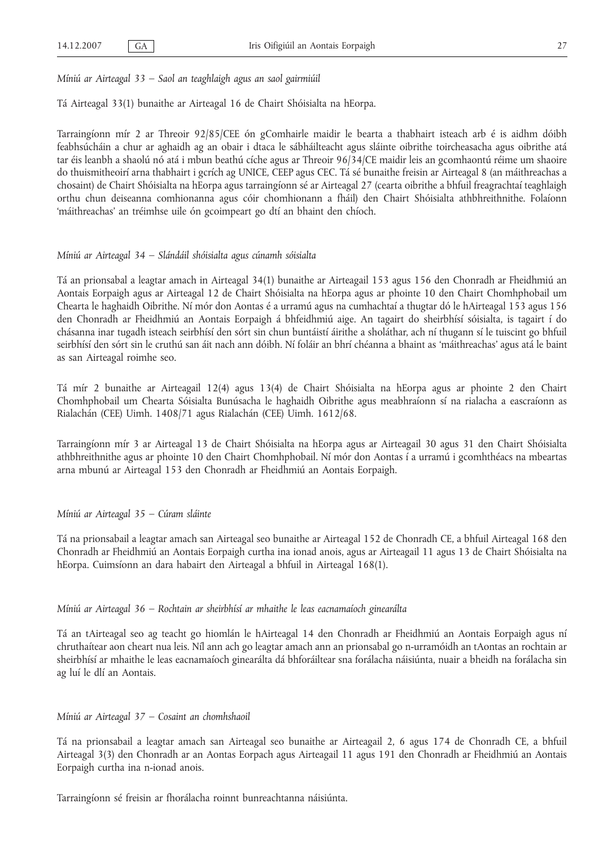*Míniú ar Airteagal 33 – Saol an teaghlaigh agus an saol gairmiúil*

Tá Airteagal 33(1) bunaithe ar Airteagal 16 de Chairt Shóisialta na hEorpa.

Tarraingíonn mír 2 ar Threoir 92/85/CEE ón gComhairle maidir le bearta a thabhairt isteach arb é is aidhm dóibh feabhsúcháin a chur ar aghaidh ag an obair i dtaca le sábháilteacht agus sláinte oibrithe toircheasacha agus oibrithe atá tar éis leanbh a shaolú nó atá i mbun beathú cíche agus ar Threoir 96/34/CE maidir leis an gcomhaontú réime um shaoire do thuismitheoirí arna thabhairt i gcrích ag UNICE, CEEP agus CEC. Tá sé bunaithe freisin ar Airteagal 8 (an máithreachas a chosaint) de Chairt Shóisialta na hEorpa agus tarraingíonn sé ar Airteagal 27 (cearta oibrithe a bhfuil freagrachtaí teaghlaigh orthu chun deiseanna comhionanna agus cóir chomhionann a fháil) den Chairt Shóisialta athbhreithnithe. Folaíonn 'máithreachas' an tréimhse uile ón gcoimpeart go dtí an bhaint den chíoch.

#### *Míniú ar Airteagal 34 – Slándáil shóisialta agus cúnamh sóisialta*

Tá an prionsabal a leagtar amach in Airteagal 34(1) bunaithe ar Airteagail 153 agus 156 den Chonradh ar Fheidhmiú an Aontais Eorpaigh agus ar Airteagal 12 de Chairt Shóisialta na hEorpa agus ar phointe 10 den Chairt Chomhphobail um Chearta le haghaidh Oibrithe. Ní mór don Aontas é a urramú agus na cumhachtaí a thugtar dó le hAirteagal 153 agus 156 den Chonradh ar Fheidhmiú an Aontais Eorpaigh á bhfeidhmiú aige. An tagairt do sheirbhísí sóisialta, is tagairt í do chásanna inar tugadh isteach seirbhísí den sórt sin chun buntáistí áirithe a sholáthar, ach ní thugann sí le tuiscint go bhfuil seirbhísí den sórt sin le cruthú san áit nach ann dóibh. Ní foláir an bhrí chéanna a bhaint as 'máithreachas' agus atá le baint as san Airteagal roimhe seo.

Tá mír 2 bunaithe ar Airteagail 12(4) agus 13(4) de Chairt Shóisialta na hEorpa agus ar phointe 2 den Chairt Chomhphobail um Chearta Sóisialta Bunúsacha le haghaidh Oibrithe agus meabhraíonn sí na rialacha a eascraíonn as Rialachán (CEE) Uimh. 1408/71 agus Rialachán (CEE) Uimh. 1612/68.

Tarraingíonn mír 3 ar Airteagal 13 de Chairt Shóisialta na hEorpa agus ar Airteagail 30 agus 31 den Chairt Shóisialta athbhreithnithe agus ar phointe 10 den Chairt Chomhphobail. Ní mór don Aontas í a urramú i gcomhthéacs na mbeartas arna mbunú ar Airteagal 153 den Chonradh ar Fheidhmiú an Aontais Eorpaigh.

#### *Míniú ar Airteagal 35 – Cúram sláinte*

Tá na prionsabail a leagtar amach san Airteagal seo bunaithe ar Airteagal 152 de Chonradh CE, a bhfuil Airteagal 168 den Chonradh ar Fheidhmiú an Aontais Eorpaigh curtha ina ionad anois, agus ar Airteagail 11 agus 13 de Chairt Shóisialta na hEorpa. Cuimsíonn an dara habairt den Airteagal a bhfuil in Airteagal 168(1).

#### *Míniú ar Airteagal 36 – Rochtain ar sheirbhísí ar mhaithe le leas eacnamaíoch ginearálta*

Tá an tAirteagal seo ag teacht go hiomlán le hAirteagal 14 den Chonradh ar Fheidhmiú an Aontais Eorpaigh agus ní chruthaítear aon cheart nua leis. Níl ann ach go leagtar amach ann an prionsabal go n-urramóidh an tAontas an rochtain ar sheirbhísí ar mhaithe le leas eacnamaíoch ginearálta dá bhforáiltear sna forálacha náisiúnta, nuair a bheidh na forálacha sin ag luí le dlí an Aontais.

#### *Míniú ar Airteagal 37 – Cosaint an chomhshaoil*

Tá na prionsabail a leagtar amach san Airteagal seo bunaithe ar Airteagail 2, 6 agus 174 de Chonradh CE, a bhfuil Airteagal 3(3) den Chonradh ar an Aontas Eorpach agus Airteagail 11 agus 191 den Chonradh ar Fheidhmiú an Aontais Eorpaigh curtha ina n-ionad anois.

Tarraingíonn sé freisin ar fhorálacha roinnt bunreachtanna náisiúnta.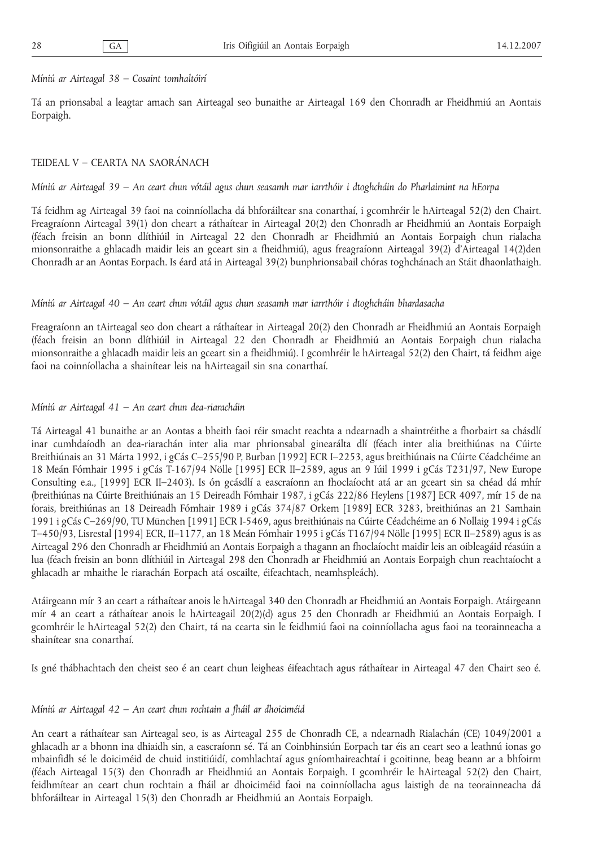*Míniú ar Airteagal 38 – Cosaint tomhaltóirí*

Tá an prionsabal a leagtar amach san Airteagal seo bunaithe ar Airteagal 169 den Chonradh ar Fheidhmiú an Aontais Eorpaigh.

#### TEIDEAL V – CEARTA NA SAORÁNACH

*Míniú ar Airteagal 39 – An ceart chun vótáil agus chun seasamh mar iarrthóir i dtoghcháin do Pharlaimint na hEorpa*

Tá feidhm ag Airteagal 39 faoi na coinníollacha dá bhforáiltear sna conarthaí, i gcomhréir le hAirteagal 52(2) den Chairt. Freagraíonn Airteagal 39(1) don cheart a ráthaítear in Airteagal 20(2) den Chonradh ar Fheidhmiú an Aontais Eorpaigh (féach freisin an bonn dlíthiúil in Airteagal 22 den Chonradh ar Fheidhmiú an Aontais Eorpaigh chun rialacha mionsonraithe a ghlacadh maidir leis an gceart sin a fheidhmiú), agus freagraíonn Airteagal 39(2) d'Airteagal 14(2)den Chonradh ar an Aontas Eorpach. Is éard atá in Airteagal 39(2) bunphrionsabail chóras toghchánach an Stáit dhaonlathaigh.

#### *Míniú ar Airteagal 40 – An ceart chun vótáil agus chun seasamh mar iarrthóir i dtoghcháin bhardasacha*

Freagraíonn an tAirteagal seo don cheart a ráthaítear in Airteagal 20(2) den Chonradh ar Fheidhmiú an Aontais Eorpaigh (féach freisin an bonn dlíthiúil in Airteagal 22 den Chonradh ar Fheidhmiú an Aontais Eorpaigh chun rialacha mionsonraithe a ghlacadh maidir leis an gceart sin a fheidhmiú). I gcomhréir le hAirteagal 52(2) den Chairt, tá feidhm aige faoi na coinníollacha a shainítear leis na hAirteagail sin sna conarthaí.

#### *Míniú ar Airteagal 41 – An ceart chun dea-riaracháin*

Tá Airteagal 41 bunaithe ar an Aontas a bheith faoi réir smacht reachta a ndearnadh a shaintréithe a fhorbairt sa chásdlí inar cumhdaíodh an dea-riarachán inter alia mar phrionsabal ginearálta dlí (féach inter alia breithiúnas na Cúirte Breithiúnais an 31 Márta 1992, i gCás C–255/90 P, Burban [1992] ECR I–2253, agus breithiúnais na Cúirte Céadchéime an 18 Meán Fómhair 1995 i gCás T-167/94 Nölle [1995] ECR II–2589, agus an 9 Iúil 1999 i gCás T231/97, New Europe Consulting e.a., [1999] ECR II–2403). Is ón gcásdlí a eascraíonn an fhoclaíocht atá ar an gceart sin sa chéad dá mhír (breithiúnas na Cúirte Breithiúnais an 15 Deireadh Fómhair 1987, i gCás 222/86 Heylens [1987] ECR 4097, mír 15 de na forais, breithiúnas an 18 Deireadh Fómhair 1989 i gCás 374/87 Orkem [1989] ECR 3283, breithiúnas an 21 Samhain 1991 i gCás C–269/90, TU München [1991] ECR I-5469, agus breithiúnais na Cúirte Céadchéime an 6 Nollaig 1994 i gCás T–450/93, Lisrestal [1994] ECR, II–1177, an 18 Meán Fómhair 1995 i gCás T167/94 Nölle [1995] ECR II–2589) agus is as Airteagal 296 den Chonradh ar Fheidhmiú an Aontais Eorpaigh a thagann an fhoclaíocht maidir leis an oibleagáid réasúin a lua (féach freisin an bonn dlíthiúil in Airteagal 298 den Chonradh ar Fheidhmiú an Aontais Eorpaigh chun reachtaíocht a ghlacadh ar mhaithe le riarachán Eorpach atá oscailte, éifeachtach, neamhspleách).

Atáirgeann mír 3 an ceart a ráthaítear anois le hAirteagal 340 den Chonradh ar Fheidhmiú an Aontais Eorpaigh. Atáirgeann mír 4 an ceart a ráthaítear anois le hAirteagail 20(2)(d) agus 25 den Chonradh ar Fheidhmiú an Aontais Eorpaigh. I gcomhréir le hAirteagal 52(2) den Chairt, tá na cearta sin le feidhmiú faoi na coinníollacha agus faoi na teorainneacha a shainítear sna conarthaí.

Is gné thábhachtach den cheist seo é an ceart chun leigheas éifeachtach agus ráthaítear in Airteagal 47 den Chairt seo é.

#### *Míniú ar Airteagal 42 – An ceart chun rochtain a fháil ar dhoiciméid*

An ceart a ráthaítear san Airteagal seo, is as Airteagal 255 de Chonradh CE, a ndearnadh Rialachán (CE) 1049/2001 a ghlacadh ar a bhonn ina dhiaidh sin, a eascraíonn sé. Tá an Coinbhinsiún Eorpach tar éis an ceart seo a leathnú ionas go mbainfidh sé le doiciméid de chuid institiúidí, comhlachtaí agus gníomhaireachtaí i gcoitinne, beag beann ar a bhfoirm (féach Airteagal 15(3) den Chonradh ar Fheidhmiú an Aontais Eorpaigh. I gcomhréir le hAirteagal 52(2) den Chairt, feidhmítear an ceart chun rochtain a fháil ar dhoiciméid faoi na coinníollacha agus laistigh de na teorainneacha dá bhforáiltear in Airteagal 15(3) den Chonradh ar Fheidhmiú an Aontais Eorpaigh.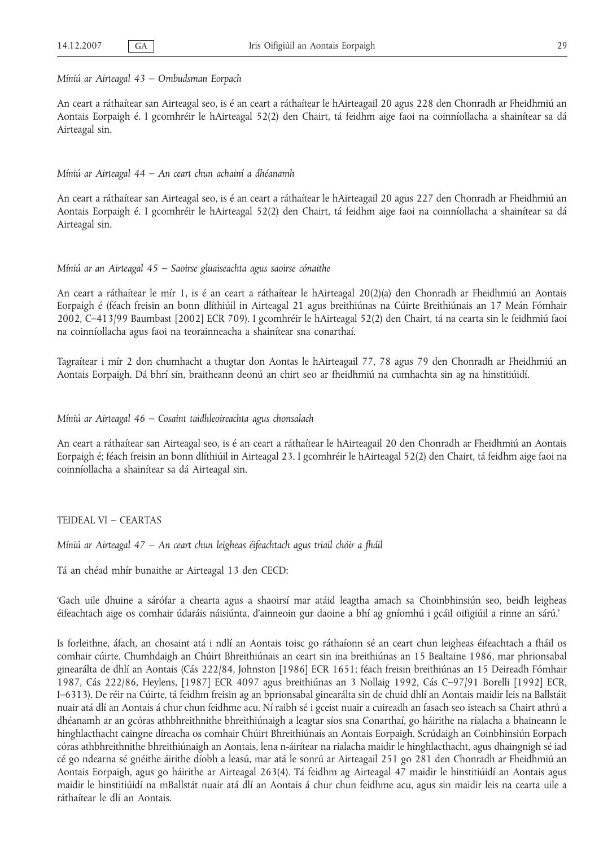#### *Míniú ar Airteagal 43 – Ombudsman Eorpach*

An ceart a ráthaítear san Airteagal seo, is é an ceart a ráthaítear le hAirteagail 20 agus 228 den Chonradh ar Fheidhmiú an Aontais Eorpaigh é. I gcomhréir le hAirteagal 52(2) den Chairt, tá feidhm aige faoi na coinníollacha a shainítear sa dá Airteagal sin.

#### *Míniú ar Airteagal 44 – An ceart chun achainí a dhéanamh*

An ceart a ráthaítear san Airteagal seo, is é an ceart a ráthaítear le hAirteagail 20 agus 227 den Chonradh ar Fheidhmiú an Aontais Eorpaigh é. I gcomhréir le hAirteagal 52(2) den Chairt, tá feidhm aige faoi na coinníollacha a shainítear sa dá Airteagal sin.

#### *Míniú ar an Airteagal 45 – Saoirse gluaiseachta agus saoirse cónaithe*

An ceart a ráthaítear le mír 1, is é an ceart a ráthaítear le hAirteagal 20(2)(a) den Chonradh ar Fheidhmiú an Aontais Eorpaigh é (féach freisin an bonn dlíthiúil in Airteagal 21 agus breithiúnas na Cúirte Breithiúnais an 17 Meán Fómhair 2002, C–413/99 Baumbast [2002] ECR 709). I gcomhréir le hAirteagal 52(2) den Chairt, tá na cearta sin le feidhmiú faoi na coinníollacha agus faoi na teorainneacha a shainítear sna conarthaí.

Tagraítear i mír 2 don chumhacht a thugtar don Aontas le hAirteagail 77, 78 agus 79 den Chonradh ar Fheidhmiú an Aontais Eorpaigh. Dá bhrí sin, braitheann deonú an chirt seo ar fheidhmiú na cumhachta sin ag na hinstitiúidí.

#### *Míniú ar Airteagal 46 – Cosaint taidhleoireachta agus chonsalach*

An ceart a ráthaítear san Airteagal seo, is é an ceart a ráthaítear le hAirteagail 20 den Chonradh ar Fheidhmiú an Aontais Eorpaigh é; féach freisin an bonn dlíthiúil in Airteagal 23. I gcomhréir le hAirteagal 52(2) den Chairt, tá feidhm aige faoi na coinníollacha a shainítear sa dá Airteagal sin.

#### TEIDEAL VI – CEARTAS

*Míniú ar Airteagal 47 – An ceart chun leigheas éifeachtach agus triail chóir a fháil*

Tá an chéad mhír bunaithe ar Airteagal 13 den CECD:

'Gach uile dhuine a sárófar a chearta agus a shaoirsí mar atáid leagtha amach sa Choinbhinsiún seo, beidh leigheas éifeachtach aige os comhair údaráis náisiúnta, d'ainneoin gur daoine a bhí ag gníomhú i gcáil oifigiúil a rinne an sárú.'

Is forleithne, áfach, an chosaint atá i ndlí an Aontais toisc go ráthaíonn sé an ceart chun leigheas éifeachtach a fháil os comhair cúirte. Chumhdaigh an Chúirt Bhreithiúnais an ceart sin ina breithiúnas an 15 Bealtaine 1986, mar phrionsabal ginearálta de dhlí an Aontais (Cás 222/84, Johnston [1986] ECR 1651; féach freisin breithiúnas an 15 Deireadh Fómhair 1987, Cás 222/86, Heylens, [1987] ECR 4097 agus breithiúnas an 3 Nollaig 1992, Cás C–97/91 Borelli [1992] ECR, I–6313). De réir na Cúirte, tá feidhm freisin ag an bprionsabal ginearálta sin de chuid dhlí an Aontais maidir leis na Ballstáit nuair atá dlí an Aontais á chur chun feidhme acu. Ní raibh sé i gceist nuair a cuireadh an fasach seo isteach sa Chairt athrú a dhéanamh ar an gcóras athbhreithnithe bhreithiúnaigh a leagtar síos sna Conarthaí, go háirithe na rialacha a bhaineann le hinghlacthacht caingne díreacha os comhair Chúirt Bhreithiúnais an Aontais Eorpaigh. Scrúdaigh an Coinbhinsiún Eorpach córas athbhreithnithe bhreithiúnaigh an Aontais, lena n-áirítear na rialacha maidir le hinghlacthacht, agus dhaingnigh sé iad cé go ndearna sé gnéithe áirithe díobh a leasú, mar atá le sonrú ar Airteagail 251 go 281 den Chonradh ar Fheidhmiú an Aontais Eorpaigh, agus go háirithe ar Airteagal 263(4). Tá feidhm ag Airteagal 47 maidir le hinstitiúidí an Aontais agus maidir le hinstitiúidí na mBallstát nuair atá dlí an Aontais á chur chun feidhme acu, agus sin maidir leis na cearta uile a ráthaítear le dlí an Aontais.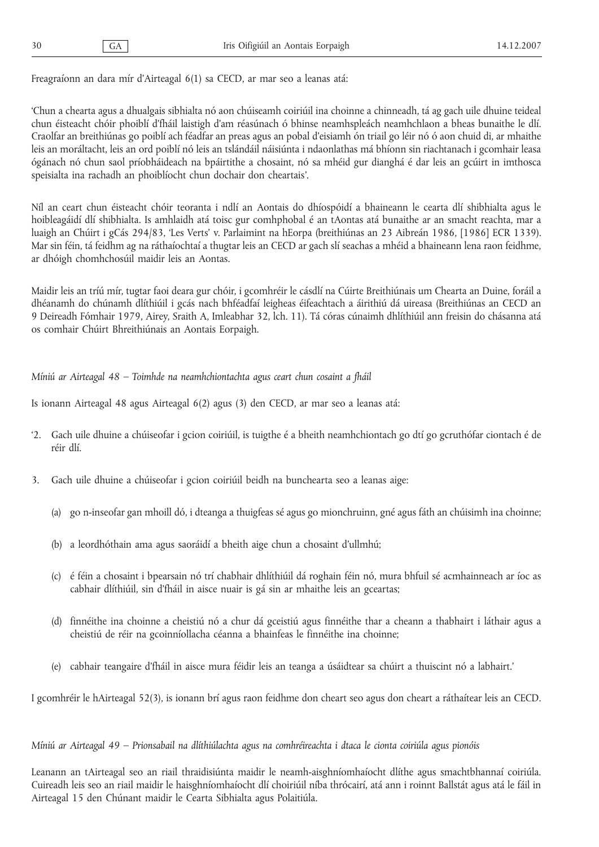Freagraíonn an dara mír d'Airteagal 6(1) sa CECD, ar mar seo a leanas atá:

'Chun a chearta agus a dhualgais sibhialta nó aon chúiseamh coiriúil ina choinne a chinneadh, tá ag gach uile dhuine teideal chun éisteacht chóir phoiblí d'fháil laistigh d'am réasúnach ó bhinse neamhspleách neamhchlaon a bheas bunaithe le dlí. Craolfar an breithiúnas go poiblí ach féadfar an preas agus an pobal d'eisiamh ón triail go léir nó ó aon chuid di, ar mhaithe leis an moráltacht, leis an ord poiblí nó leis an tslándáil náisiúnta i ndaonlathas má bhíonn sin riachtanach i gcomhair leasa ógánach nó chun saol príobháideach na bpáirtithe a chosaint, nó sa mhéid gur dianghá é dar leis an gcúirt in imthosca speisialta ina rachadh an phoiblíocht chun dochair don cheartais'.

Níl an ceart chun éisteacht chóir teoranta i ndlí an Aontais do dhíospóidí a bhaineann le cearta dlí shibhialta agus le hoibleagáidí dlí shibhialta. Is amhlaidh atá toisc gur comhphobal é an tAontas atá bunaithe ar an smacht reachta, mar a luaigh an Chúirt i gCás 294/83, 'Les Verts' v. Parlaimint na hEorpa (breithiúnas an 23 Aibreán 1986, [1986] ECR 1339). Mar sin féin, tá feidhm ag na ráthaíochtaí a thugtar leis an CECD ar gach slí seachas a mhéid a bhaineann lena raon feidhme, ar dhóigh chomhchosúil maidir leis an Aontas.

Maidir leis an tríú mír, tugtar faoi deara gur chóir, i gcomhréir le cásdlí na Cúirte Breithiúnais um Chearta an Duine, foráil a dhéanamh do chúnamh dlíthiúil i gcás nach bhféadfaí leigheas éifeachtach a áirithiú dá uireasa (Breithiúnas an CECD an 9 Deireadh Fómhair 1979, Airey, Sraith A, Imleabhar 32, lch. 11). Tá córas cúnaimh dhlíthiúil ann freisin do chásanna atá os comhair Chúirt Bhreithiúnais an Aontais Eorpaigh.

*Míniú ar Airteagal 48 – Toimhde na neamhchiontachta agus ceart chun cosaint a fháil*

Is ionann Airteagal 48 agus Airteagal 6(2) agus (3) den CECD, ar mar seo a leanas atá:

- '2. Gach uile dhuine a chúiseofar i gcion coiriúil, is tuigthe é a bheith neamhchiontach go dtí go gcruthófar ciontach é de réir dlí.
- 3. Gach uile dhuine a chúiseofar i gcion coiriúil beidh na bunchearta seo a leanas aige:
	- (a) go n-inseofar gan mhoill dó, i dteanga a thuigfeas sé agus go mionchruinn, gné agus fáth an chúisimh ina choinne;
	- (b) a leordhóthain ama agus saoráidí a bheith aige chun a chosaint d'ullmhú;
	- (c) é féin a chosaint i bpearsain nó trí chabhair dhlíthiúil dá roghain féin nó, mura bhfuil sé acmhainneach ar íoc as cabhair dlíthiúil, sin d'fháil in aisce nuair is gá sin ar mhaithe leis an gceartas;
	- (d) finnéithe ina choinne a cheistiú nó a chur dá gceistiú agus finnéithe thar a cheann a thabhairt i láthair agus a cheistiú de réir na gcoinníollacha céanna a bhainfeas le finnéithe ina choinne;
	- (e) cabhair teangaire d'fháil in aisce mura féidir leis an teanga a úsáidtear sa chúirt a thuiscint nó a labhairt.'

I gcomhréir le hAirteagal 52(3), is ionann brí agus raon feidhme don cheart seo agus don cheart a ráthaítear leis an CECD.

#### *Míniú ar Airteagal 49 – Prionsabail na dlíthiúlachta agus na comhréireachta i dtaca le cionta coiriúla agus pionóis*

Leanann an tAirteagal seo an riail thraidisiúnta maidir le neamh-aisghníomhaíocht dlíthe agus smachtbhannaí coiriúla. Cuireadh leis seo an riail maidir le haisghníomhaíocht dlí choiriúil níba thrócairí, atá ann i roinnt Ballstát agus atá le fáil in Airteagal 15 den Chúnant maidir le Cearta Sibhialta agus Polaitiúla.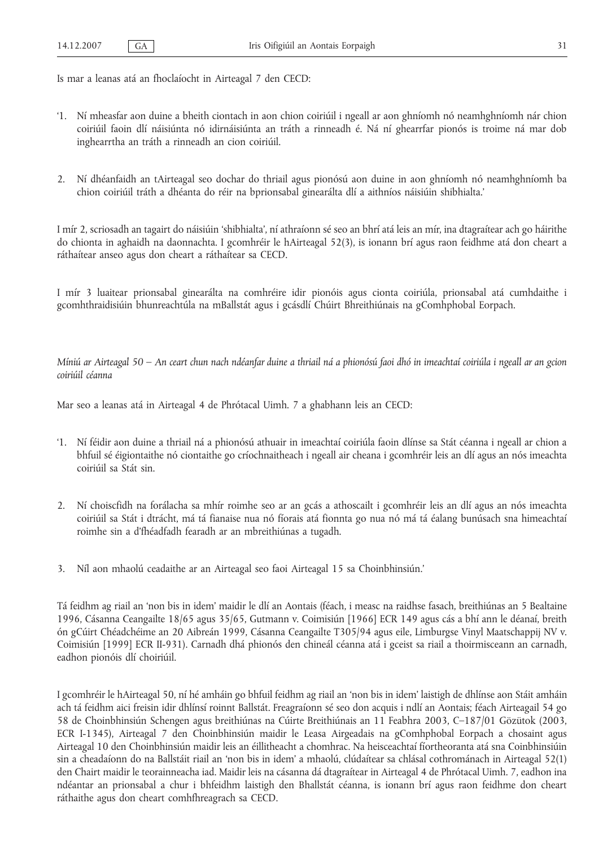Is mar a leanas atá an fhoclaíocht in Airteagal 7 den CECD:

- '1. Ní mheasfar aon duine a bheith ciontach in aon chion coiriúil i ngeall ar aon ghníomh nó neamhghníomh nár chion coiriúil faoin dlí náisiúnta nó idirnáisiúnta an tráth a rinneadh é. Ná ní ghearrfar pionós is troime ná mar dob inghearrtha an tráth a rinneadh an cion coiriúil.
- 2. Ní dhéanfaidh an tAirteagal seo dochar do thriail agus pionósú aon duine in aon ghníomh nó neamhghníomh ba chion coiriúil tráth a dhéanta do réir na bprionsabal ginearálta dlí a aithníos náisiúin shibhialta.'

I mír 2, scriosadh an tagairt do náisiúin 'shibhialta', ní athraíonn sé seo an bhrí atá leis an mír, ina dtagraítear ach go háirithe do chionta in aghaidh na daonnachta. I gcomhréir le hAirteagal 52(3), is ionann brí agus raon feidhme atá don cheart a ráthaítear anseo agus don cheart a ráthaítear sa CECD.

I mír 3 luaitear prionsabal ginearálta na comhréire idir pionóis agus cionta coiriúla, prionsabal atá cumhdaithe i gcomhthraidisiúin bhunreachtúla na mBallstát agus i gcásdlí Chúirt Bhreithiúnais na gComhphobal Eorpach.

*Míniú ar Airteagal 50 – An ceart chun nach ndéanfar duine a thriail ná a phionósú faoi dhó in imeachtaí coiriúla i ngeall ar an gcion coiriúil céanna*

Mar seo a leanas atá in Airteagal 4 de Phrótacal Uimh. 7 a ghabhann leis an CECD:

- '1. Ní féidir aon duine a thriail ná a phionósú athuair in imeachtaí coiriúla faoin dlínse sa Stát céanna i ngeall ar chion a bhfuil sé éigiontaithe nó ciontaithe go críochnaitheach i ngeall air cheana i gcomhréir leis an dlí agus an nós imeachta coiriúil sa Stát sin.
- 2. Ní choiscfidh na forálacha sa mhír roimhe seo ar an gcás a athoscailt i gcomhréir leis an dlí agus an nós imeachta coiriúil sa Stát i dtrácht, má tá fianaise nua nó fíorais atá fionnta go nua nó má tá éalang bunúsach sna himeachtaí roimhe sin a d'fhéadfadh fearadh ar an mbreithiúnas a tugadh.
- 3. Níl aon mhaolú ceadaithe ar an Airteagal seo faoi Airteagal 15 sa Choinbhinsiún.'

Tá feidhm ag riail an 'non bis in idem' maidir le dlí an Aontais (féach, i measc na raidhse fasach, breithiúnas an 5 Bealtaine 1996, Cásanna Ceangailte 18/65 agus 35/65, Gutmann v. Coimisiún [1966] ECR 149 agus cás a bhí ann le déanaí, breith ón gCúirt Chéadchéime an 20 Aibreán 1999, Cásanna Ceangailte T305/94 agus eile, Limburgse Vinyl Maatschappij NV v. Coimisiún [1999] ECR II-931). Carnadh dhá phionós den chineál céanna atá i gceist sa riail a thoirmisceann an carnadh, eadhon pionóis dlí choiriúil.

I gcomhréir le hAirteagal 50, ní hé amháin go bhfuil feidhm ag riail an 'non bis in idem' laistigh de dhlínse aon Stáit amháin ach tá feidhm aici freisin idir dhlínsí roinnt Ballstát. Freagraíonn sé seo don acquis i ndlí an Aontais; féach Airteagail 54 go 58 de Choinbhinsiún Schengen agus breithiúnas na Cúirte Breithiúnais an 11 Feabhra 2003, C–187/01 Gözütok (2003, ECR I-1345), Airteagal 7 den Choinbhinsiún maidir le Leasa Airgeadais na gComhphobal Eorpach a chosaint agus Airteagal 10 den Choinbhinsiún maidir leis an éillitheacht a chomhrac. Na heisceachtaí fíortheoranta atá sna Coinbhinsiúin sin a cheadaíonn do na Ballstáit riail an 'non bis in idem' a mhaolú, clúdaítear sa chlásal cothrománach in Airteagal 52(1) den Chairt maidir le teorainneacha iad. Maidir leis na cásanna dá dtagraítear in Airteagal 4 de Phrótacal Uimh. 7, eadhon ina ndéantar an prionsabal a chur i bhfeidhm laistigh den Bhallstát céanna, is ionann brí agus raon feidhme don cheart ráthaithe agus don cheart comhfhreagrach sa CECD.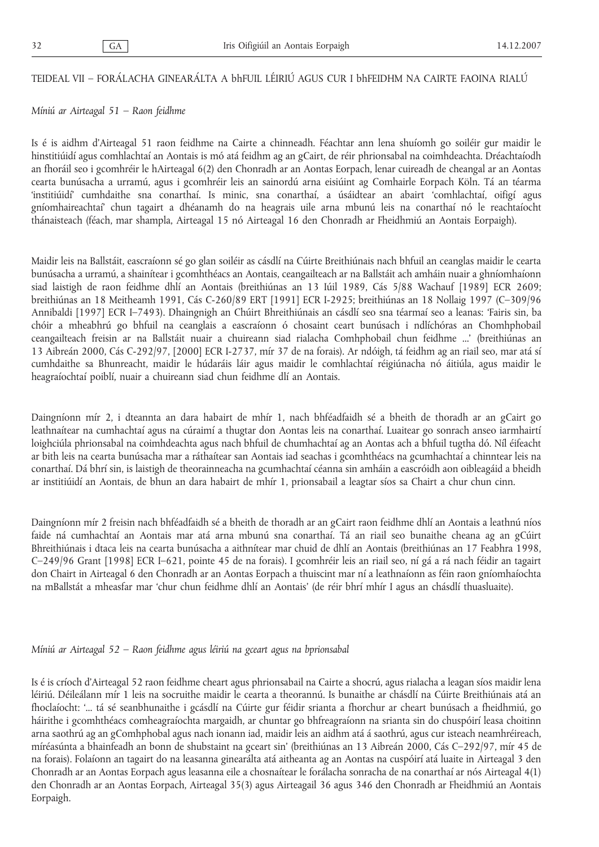#### TEIDEAL VII – FORÁLACHA GINEARÁLTA A bhFUIL LÉIRIÚ AGUS CUR I bhFEIDHM NA CAIRTE FAOINA RIALÚ

#### *Míniú ar Airteagal 51 – Raon feidhme*

Is é is aidhm d'Airteagal 51 raon feidhme na Cairte a chinneadh. Féachtar ann lena shuíomh go soiléir gur maidir le hinstitiúidí agus comhlachtaí an Aontais is mó atá feidhm ag an gCairt, de réir phrionsabal na coimhdeachta. Dréachtaíodh an fhoráil seo i gcomhréir le hAirteagal 6(2) den Chonradh ar an Aontas Eorpach, lenar cuireadh de cheangal ar an Aontas cearta bunúsacha a urramú, agus i gcomhréir leis an sainordú arna eisiúint ag Comhairle Eorpach Köln. Tá an téarma 'institiúidí' cumhdaithe sna conarthaí. Is minic, sna conarthaí, a úsáidtear an abairt 'comhlachtaí, oifigí agus gníomhaireachtaí' chun tagairt a dhéanamh do na heagrais uile arna mbunú leis na conarthaí nó le reachtaíocht thánaisteach (féach, mar shampla, Airteagal 15 nó Airteagal 16 den Chonradh ar Fheidhmiú an Aontais Eorpaigh).

Maidir leis na Ballstáit, eascraíonn sé go glan soiléir as cásdlí na Cúirte Breithiúnais nach bhfuil an ceanglas maidir le cearta bunúsacha a urramú, a shainítear i gcomhthéacs an Aontais, ceangailteach ar na Ballstáit ach amháin nuair a ghníomhaíonn siad laistigh de raon feidhme dhlí an Aontais (breithiúnas an 13 Iúil 1989, Cás 5/88 Wachauf [1989] ECR 2609; breithiúnas an 18 Meitheamh 1991, Cás C-260/89 ERT [1991] ECR I-2925; breithiúnas an 18 Nollaig 1997 (C–309/96 Annibaldi [1997] ECR I–7493). Dhaingnigh an Chúirt Bhreithiúnais an cásdlí seo sna téarmaí seo a leanas: 'Fairis sin, ba chóir a mheabhrú go bhfuil na ceanglais a eascraíonn ó chosaint ceart bunúsach i ndlíchóras an Chomhphobail ceangailteach freisin ar na Ballstáit nuair a chuireann siad rialacha Comhphobail chun feidhme ...' (breithiúnas an 13 Aibreán 2000, Cás C-292/97, [2000] ECR I-2737, mír 37 de na forais). Ar ndóigh, tá feidhm ag an riail seo, mar atá sí cumhdaithe sa Bhunreacht, maidir le húdaráis láir agus maidir le comhlachtaí réigiúnacha nó áitiúla, agus maidir le heagraíochtaí poiblí, nuair a chuireann siad chun feidhme dlí an Aontais.

Daingníonn mír 2, i dteannta an dara habairt de mhír 1, nach bhféadfaidh sé a bheith de thoradh ar an gCairt go leathnaítear na cumhachtaí agus na cúraimí a thugtar don Aontas leis na conarthaí. Luaitear go sonrach anseo iarmhairtí loighciúla phrionsabal na coimhdeachta agus nach bhfuil de chumhachtaí ag an Aontas ach a bhfuil tugtha dó. Níl éifeacht ar bith leis na cearta bunúsacha mar a ráthaítear san Aontais iad seachas i gcomhthéacs na gcumhachtaí a chinntear leis na conarthaí. Dá bhrí sin, is laistigh de theorainneacha na gcumhachtaí céanna sin amháin a eascróidh aon oibleagáid a bheidh ar institiúidí an Aontais, de bhun an dara habairt de mhír 1, prionsabail a leagtar síos sa Chairt a chur chun cinn.

Daingníonn mír 2 freisin nach bhféadfaidh sé a bheith de thoradh ar an gCairt raon feidhme dhlí an Aontais a leathnú níos faide ná cumhachtaí an Aontais mar atá arna mbunú sna conarthaí. Tá an riail seo bunaithe cheana ag an gCúirt Bhreithiúnais i dtaca leis na cearta bunúsacha a aithnítear mar chuid de dhlí an Aontais (breithiúnas an 17 Feabhra 1998, C–249/96 Grant [1998] ECR I–621, pointe 45 de na forais). I gcomhréir leis an riail seo, ní gá a rá nach féidir an tagairt don Chairt in Airteagal 6 den Chonradh ar an Aontas Eorpach a thuiscint mar ní a leathnaíonn as féin raon gníomhaíochta na mBallstát a mheasfar mar 'chur chun feidhme dhlí an Aontais' (de réir bhrí mhír I agus an chásdlí thuasluaite).

*Míniú ar Airteagal 52 – Raon feidhme agus léiriú na gceart agus na bprionsabal*

Is é is críoch d'Airteagal 52 raon feidhme cheart agus phrionsabail na Cairte a shocrú, agus rialacha a leagan síos maidir lena léiriú. Déileálann mír 1 leis na socruithe maidir le cearta a theorannú. Is bunaithe ar chásdlí na Cúirte Breithiúnais atá an fhoclaíocht: '... tá sé seanbhunaithe i gcásdlí na Cúirte gur féidir srianta a fhorchur ar cheart bunúsach a fheidhmiú, go háirithe i gcomhthéacs comheagraíochta margaidh, ar chuntar go bhfreagraíonn na srianta sin do chuspóirí leasa choitinn arna saothrú ag an gComhphobal agus nach ionann iad, maidir leis an aidhm atá á saothrú, agus cur isteach neamhréireach, míréasúnta a bhainfeadh an bonn de shubstaint na gceart sin' (breithiúnas an 13 Aibreán 2000, Cás C–292/97, mír 45 de na forais). Folaíonn an tagairt do na leasanna ginearálta atá aitheanta ag an Aontas na cuspóirí atá luaite in Airteagal 3 den Chonradh ar an Aontas Eorpach agus leasanna eile a chosnaítear le forálacha sonracha de na conarthaí ar nós Airteagal 4(1) den Chonradh ar an Aontas Eorpach, Airteagal 35(3) agus Airteagail 36 agus 346 den Chonradh ar Fheidhmiú an Aontais Eorpaigh.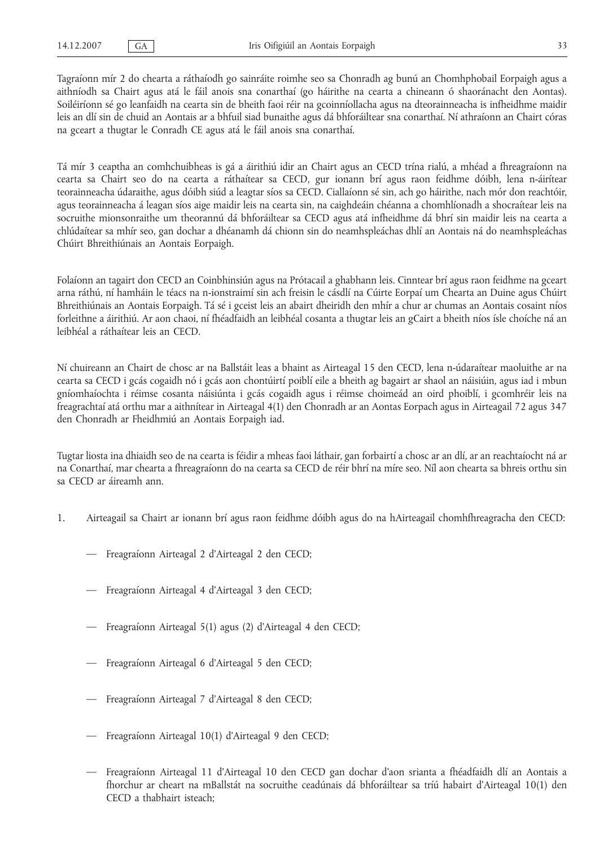Tagraíonn mír 2 do chearta a ráthaíodh go sainráite roimhe seo sa Chonradh ag bunú an Chomhphobail Eorpaigh agus a aithníodh sa Chairt agus atá le fáil anois sna conarthaí (go háirithe na cearta a chineann ó shaoránacht den Aontas). Soiléiríonn sé go leanfaidh na cearta sin de bheith faoi réir na gcoinníollacha agus na dteorainneacha is infheidhme maidir leis an dlí sin de chuid an Aontais ar a bhfuil siad bunaithe agus dá bhforáiltear sna conarthaí. Ní athraíonn an Chairt córas na gceart a thugtar le Conradh CE agus atá le fáil anois sna conarthaí.

Tá mír 3 ceaptha an comhchuibheas is gá a áirithiú idir an Chairt agus an CECD trína rialú, a mhéad a fhreagraíonn na cearta sa Chairt seo do na cearta a ráthaítear sa CECD, gur ionann brí agus raon feidhme dóibh, lena n-áirítear teorainneacha údaraithe, agus dóibh siúd a leagtar síos sa CECD. Ciallaíonn sé sin, ach go háirithe, nach mór don reachtóir, agus teorainneacha á leagan síos aige maidir leis na cearta sin, na caighdeáin chéanna a chomhlíonadh a shocraítear leis na socruithe mionsonraithe um theorannú dá bhforáiltear sa CECD agus atá infheidhme dá bhrí sin maidir leis na cearta a chlúdaítear sa mhír seo, gan dochar a dhéanamh dá chionn sin do neamhspleáchas dhlí an Aontais ná do neamhspleáchas Chúirt Bhreithiúnais an Aontais Eorpaigh.

Folaíonn an tagairt don CECD an Coinbhinsiún agus na Prótacail a ghabhann leis. Cinntear brí agus raon feidhme na gceart arna ráthú, ní hamháin le téacs na n-ionstraimí sin ach freisin le cásdlí na Cúirte Eorpaí um Chearta an Duine agus Chúirt Bhreithiúnais an Aontais Eorpaigh. Tá sé i gceist leis an abairt dheiridh den mhír a chur ar chumas an Aontais cosaint níos forleithne a áirithiú. Ar aon chaoi, ní fhéadfaidh an leibhéal cosanta a thugtar leis an gCairt a bheith níos ísle choíche ná an leibhéal a ráthaítear leis an CECD.

Ní chuireann an Chairt de chosc ar na Ballstáit leas a bhaint as Airteagal 15 den CECD, lena n-údaraítear maoluithe ar na cearta sa CECD i gcás cogaidh nó i gcás aon chontúirtí poiblí eile a bheith ag bagairt ar shaol an náisiúin, agus iad i mbun gníomhaíochta i réimse cosanta náisiúnta i gcás cogaidh agus i réimse choimeád an oird phoiblí, i gcomhréir leis na freagrachtaí atá orthu mar a aithnítear in Airteagal 4(1) den Chonradh ar an Aontas Eorpach agus in Airteagail 72 agus 347 den Chonradh ar Fheidhmiú an Aontais Eorpaigh iad.

Tugtar liosta ina dhiaidh seo de na cearta is féidir a mheas faoi láthair, gan forbairtí a chosc ar an dlí, ar an reachtaíocht ná ar na Conarthaí, mar chearta a fhreagraíonn do na cearta sa CECD de réir bhrí na míre seo. Níl aon chearta sa bhreis orthu sin sa CECD ar áireamh ann.

- 1. Airteagail sa Chairt ar ionann brí agus raon feidhme dóibh agus do na hAirteagail chomhfhreagracha den CECD:
	- Freagraíonn Airteagal 2 d'Airteagal 2 den CECD;
	- Freagraíonn Airteagal 4 d'Airteagal 3 den CECD;
	- Freagraíonn Airteagal 5(1) agus (2) d'Airteagal 4 den CECD;
	- Freagraíonn Airteagal 6 d'Airteagal 5 den CECD;
	- Freagraíonn Airteagal 7 d'Airteagal 8 den CECD;
	- Freagraíonn Airteagal 10(1) d'Airteagal 9 den CECD;
	- Freagraíonn Airteagal 11 d'Airteagal 10 den CECD gan dochar d'aon srianta a fhéadfaidh dlí an Aontais a fhorchur ar cheart na mBallstát na socruithe ceadúnais dá bhforáiltear sa tríú habairt d'Airteagal 10(1) den CECD a thabhairt isteach;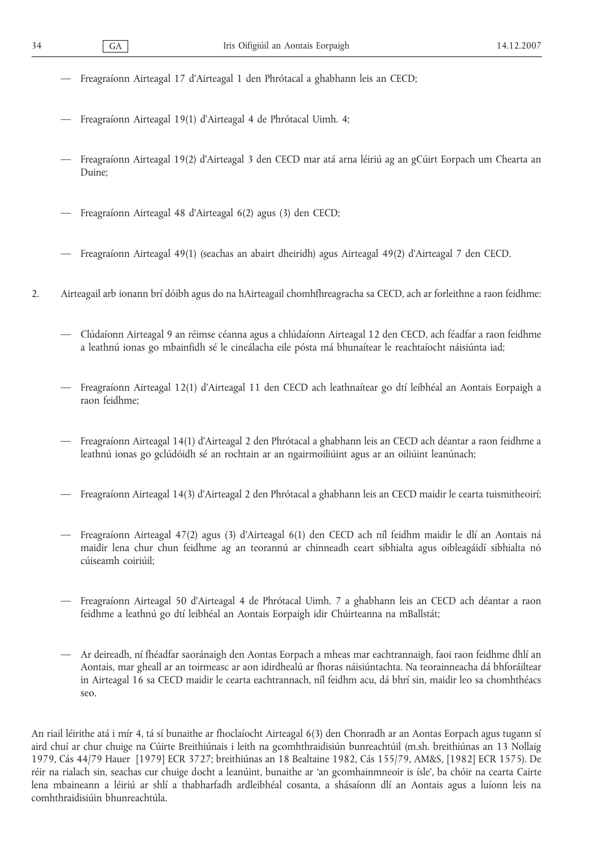- Freagraíonn Airteagal 17 d'Airteagal 1 den Phrótacal a ghabhann leis an CECD;
- Freagraíonn Airteagal 19(1) d'Airteagal 4 de Phrótacal Uimh. 4;
- Freagraíonn Airteagal 19(2) d'Airteagal 3 den CECD mar atá arna léiriú ag an gCúirt Eorpach um Chearta an Duine;
- Freagraíonn Airteagal 48 d'Airteagal 6(2) agus (3) den CECD;
- Freagraíonn Airteagal 49(1) (seachas an abairt dheiridh) agus Airteagal 49(2) d'Airteagal 7 den CECD.
- 2. Airteagail arb ionann brí dóibh agus do na hAirteagail chomhfhreagracha sa CECD, ach ar forleithne a raon feidhme:
	- Clúdaíonn Airteagal 9 an réimse céanna agus a chlúdaíonn Airteagal 12 den CECD, ach féadfar a raon feidhme a leathnú ionas go mbainfidh sé le cineálacha eile pósta má bhunaítear le reachtaíocht náisiúnta iad;
	- Freagraíonn Airteagal 12(1) d'Airteagal 11 den CECD ach leathnaítear go dtí leibhéal an Aontais Eorpaigh a raon feidhme;
	- Freagraíonn Airteagal 14(1) d'Airteagal 2 den Phrótacal a ghabhann leis an CECD ach déantar a raon feidhme a leathnú ionas go gclúdóidh sé an rochtain ar an ngairmoiliúint agus ar an oiliúint leanúnach;
	- Freagraíonn Airteagal 14(3) d'Airteagal 2 den Phrótacal a ghabhann leis an CECD maidir le cearta tuismitheoirí;
	- Freagraíonn Airteagal 47(2) agus (3) d'Airteagal 6(1) den CECD ach níl feidhm maidir le dlí an Aontais ná maidir lena chur chun feidhme ag an teorannú ar chinneadh ceart sibhialta agus oibleagáidí sibhialta nó cúiseamh coiriúil;
	- Freagraíonn Airteagal 50 d'Airteagal 4 de Phrótacal Uimh. 7 a ghabhann leis an CECD ach déantar a raon feidhme a leathnú go dtí leibhéal an Aontais Eorpaigh idir Chúirteanna na mBallstát;
	- Ar deireadh, ní fhéadfar saoránaigh den Aontas Eorpach a mheas mar eachtrannaigh, faoi raon feidhme dhlí an Aontais, mar gheall ar an toirmeasc ar aon idirdhealú ar fhoras náisiúntachta. Na teorainneacha dá bhforáiltear in Airteagal 16 sa CECD maidir le cearta eachtrannach, níl feidhm acu, dá bhrí sin, maidir leo sa chomhthéacs seo.

An riail léirithe atá i mír 4, tá sí bunaithe ar fhoclaíocht Airteagal 6(3) den Chonradh ar an Aontas Eorpach agus tugann sí aird chuí ar chur chuige na Cúirte Breithiúnais i leith na gcomhthraidisiún bunreachtúil (m.sh. breithiúnas an 13 Nollaig 1979, Cás 44/79 Hauer [1979] ECR 3727; breithiúnas an 18 Bealtaine 1982, Cás 155/79, AM&S, [1982] ECR 1575). De réir na rialach sin, seachas cur chuige docht a leanúint, bunaithe ar 'an gcomhainmneoir is ísle', ba chóir na cearta Cairte lena mbaineann a léiriú ar shlí a thabharfadh ardleibhéal cosanta, a shásaíonn dlí an Aontais agus a luíonn leis na comhthraidisiúin bhunreachtúla.